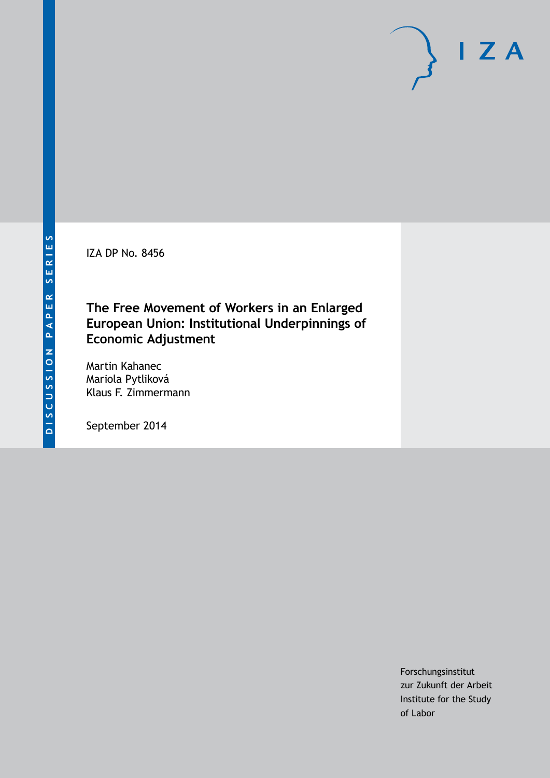IZA DP No. 8456

# **The Free Movement of Workers in an Enlarged European Union: Institutional Underpinnings of Economic Adjustment**

Martin Kahanec Mariola Pytliková Klaus F. Zimmermann

September 2014

Forschungsinstitut zur Zukunft der Arbeit Institute for the Study of Labor

 $I Z A$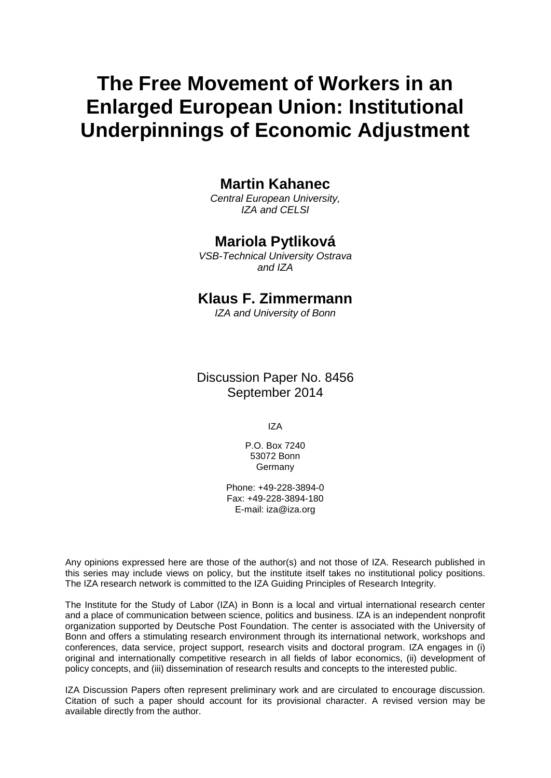# **The Free Movement of Workers in an Enlarged European Union: Institutional Underpinnings of Economic Adjustment**

### **Martin Kahanec**

*Central European University, IZA and CELSI*

# **Mariola Pytliková**

*VSB-Technical University Ostrava and IZA*

### **Klaus F. Zimmermann**

*IZA and University of Bonn*

### Discussion Paper No. 8456 September 2014

IZA

P.O. Box 7240 53072 Bonn Germany

Phone: +49-228-3894-0 Fax: +49-228-3894-180 E-mail: [iza@iza.org](mailto:iza@iza.org)

Any opinions expressed here are those of the author(s) and not those of IZA. Research published in this series may include views on policy, but the institute itself takes no institutional policy positions. The IZA research network is committed to the IZA Guiding Principles of Research Integrity.

The Institute for the Study of Labor (IZA) in Bonn is a local and virtual international research center and a place of communication between science, politics and business. IZA is an independent nonprofit organization supported by Deutsche Post Foundation. The center is associated with the University of Bonn and offers a stimulating research environment through its international network, workshops and conferences, data service, project support, research visits and doctoral program. IZA engages in (i) original and internationally competitive research in all fields of labor economics, (ii) development of policy concepts, and (iii) dissemination of research results and concepts to the interested public.

IZA Discussion Papers often represent preliminary work and are circulated to encourage discussion. Citation of such a paper should account for its provisional character. A revised version may be available directly from the author.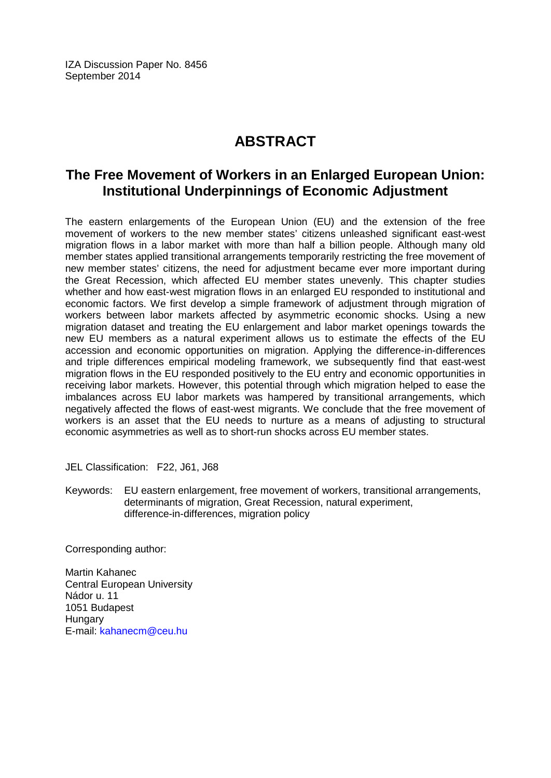IZA Discussion Paper No. 8456 September 2014

# **ABSTRACT**

# **The Free Movement of Workers in an Enlarged European Union: Institutional Underpinnings of Economic Adjustment**

The eastern enlargements of the European Union (EU) and the extension of the free movement of workers to the new member states' citizens unleashed significant east-west migration flows in a labor market with more than half a billion people. Although many old member states applied transitional arrangements temporarily restricting the free movement of new member states' citizens, the need for adjustment became ever more important during the Great Recession, which affected EU member states unevenly. This chapter studies whether and how east-west migration flows in an enlarged EU responded to institutional and economic factors. We first develop a simple framework of adjustment through migration of workers between labor markets affected by asymmetric economic shocks. Using a new migration dataset and treating the EU enlargement and labor market openings towards the new EU members as a natural experiment allows us to estimate the effects of the EU accession and economic opportunities on migration. Applying the difference-in-differences and triple differences empirical modeling framework, we subsequently find that east-west migration flows in the EU responded positively to the EU entry and economic opportunities in receiving labor markets. However, this potential through which migration helped to ease the imbalances across EU labor markets was hampered by transitional arrangements, which negatively affected the flows of east-west migrants. We conclude that the free movement of workers is an asset that the EU needs to nurture as a means of adjusting to structural economic asymmetries as well as to short-run shocks across EU member states.

JEL Classification: F22, J61, J68

Keywords: EU eastern enlargement, free movement of workers, transitional arrangements, determinants of migration, Great Recession, natural experiment, difference-in-differences, migration policy

Corresponding author:

Martin Kahanec Central European University Nádor u. 11 1051 Budapest Hungary E-mail: [kahanecm@ceu.hu](mailto:kahanecm@ceu.hu)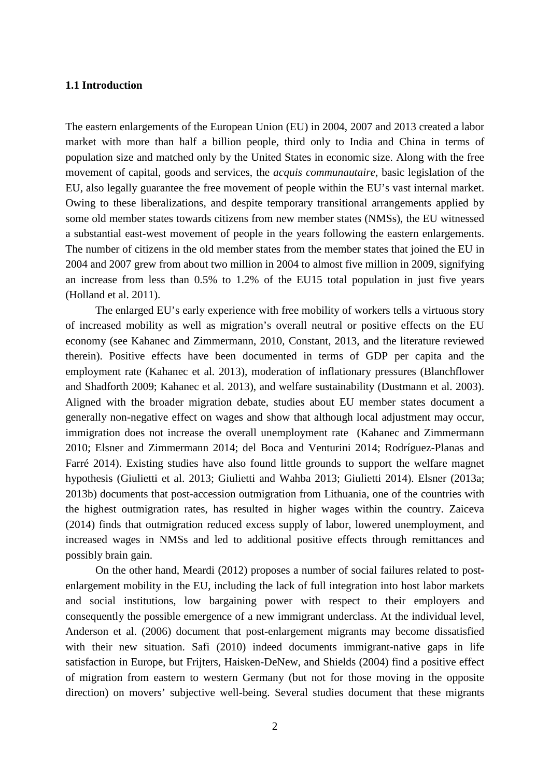#### **1.1 Introduction**

The eastern enlargements of the European Union (EU) in 2004, 2007 and 2013 created a labor market with more than half a billion people, third only to India and China in terms of population size and matched only by the United States in economic size. Along with the free movement of capital, goods and services, the *acquis communautaire*, basic legislation of the EU, also legally guarantee the free movement of people within the EU's vast internal market. Owing to these liberalizations, and despite temporary transitional arrangements applied by some old member states towards citizens from new member states (NMSs), the EU witnessed a substantial east-west movement of people in the years following the eastern enlargements. The number of citizens in the old member states from the member states that joined the EU in 2004 and 2007 grew from about two million in 2004 to almost five million in 2009, signifying an increase from less than 0.5% to 1.2% of the EU15 total population in just five years (Holland et al. 2011).

The enlarged EU's early experience with free mobility of workers tells a virtuous story of increased mobility as well as migration's overall neutral or positive effects on the EU economy (see Kahanec and Zimmermann, 2010, Constant, 2013, and the literature reviewed therein). Positive effects have been documented in terms of GDP per capita and the employment rate (Kahanec et al. 2013), moderation of inflationary pressures (Blanchflower and Shadforth 2009; Kahanec et al. 2013), and welfare sustainability (Dustmann et al. 2003). Aligned with the broader migration debate, studies about EU member states document a generally non-negative effect on wages and show that although local adjustment may occur, immigration does not increase the overall unemployment rate (Kahanec and Zimmermann 2010; Elsner and Zimmermann 2014; del Boca and Venturini 2014; Rodríguez-Planas and Farré 2014). Existing studies have also found little grounds to support the welfare magnet hypothesis (Giulietti et al. 2013; Giulietti and Wahba 2013; Giulietti 2014). Elsner (2013a; 2013b) documents that post-accession outmigration from Lithuania, one of the countries with the highest outmigration rates, has resulted in higher wages within the country. Zaiceva (2014) finds that outmigration reduced excess supply of labor, lowered unemployment, and increased wages in NMSs and led to additional positive effects through remittances and possibly brain gain.

On the other hand, Meardi (2012) proposes a number of social failures related to postenlargement mobility in the EU, including the lack of full integration into host labor markets and social institutions, low bargaining power with respect to their employers and consequently the possible emergence of a new immigrant underclass. At the individual level, Anderson et al. (2006) document that post-enlargement migrants may become dissatisfied with their new situation. Safi (2010) indeed documents immigrant-native gaps in life satisfaction in Europe, but Frijters, Haisken-DeNew, and Shields (2004) find a positive effect of migration from eastern to western Germany (but not for those moving in the opposite direction) on movers' subjective well-being. Several studies document that these migrants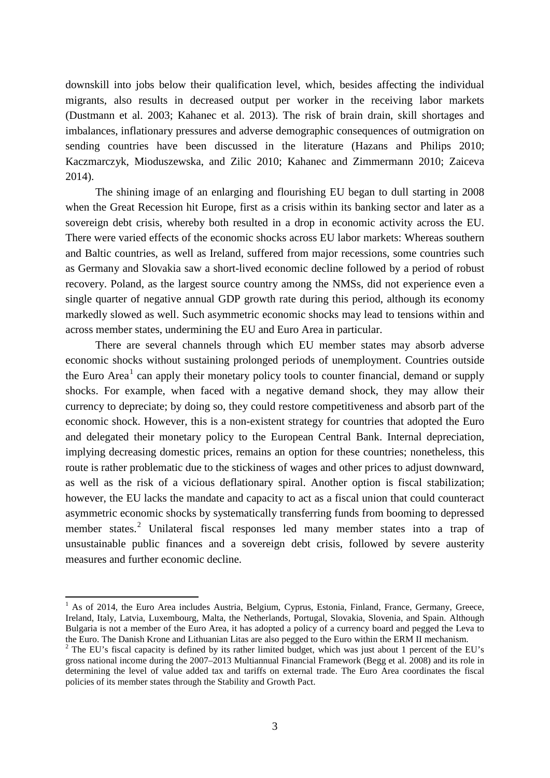downskill into jobs below their qualification level, which, besides affecting the individual migrants, also results in decreased output per worker in the receiving labor markets (Dustmann et al. 2003; Kahanec et al. 2013). The risk of brain drain, skill shortages and imbalances, inflationary pressures and adverse demographic consequences of outmigration on sending countries have been discussed in the literature (Hazans and Philips 2010; Kaczmarczyk, Mioduszewska, and Zilic 2010; Kahanec and Zimmermann 2010; Zaiceva 2014).

The shining image of an enlarging and flourishing EU began to dull starting in 2008 when the Great Recession hit Europe, first as a crisis within its banking sector and later as a sovereign debt crisis, whereby both resulted in a drop in economic activity across the EU. There were varied effects of the economic shocks across EU labor markets: Whereas southern and Baltic countries, as well as Ireland, suffered from major recessions, some countries such as Germany and Slovakia saw a short-lived economic decline followed by a period of robust recovery. Poland, as the largest source country among the NMSs, did not experience even a single quarter of negative annual GDP growth rate during this period, although its economy markedly slowed as well. Such asymmetric economic shocks may lead to tensions within and across member states, undermining the EU and Euro Area in particular.

There are several channels through which EU member states may absorb adverse economic shocks without sustaining prolonged periods of unemployment. Countries outside the Euro Area<sup>1</sup> can apply their monetary policy tools to counter financial, demand or supply shocks. For example, when faced with a negative demand shock, they may allow their currency to depreciate; by doing so, they could restore competitiveness and absorb part of the economic shock. However, this is a non-existent strategy for countries that adopted the Euro and delegated their monetary policy to the European Central Bank. Internal depreciation, implying decreasing domestic prices, remains an option for these countries; nonetheless, this route is rather problematic due to the stickiness of wages and other prices to adjust downward, as well as the risk of a vicious deflationary spiral. Another option is fiscal stabilization; however, the EU lacks the mandate and capacity to act as a fiscal union that could counteract asymmetric economic shocks by systematically transferring funds from booming to depressed member states.<sup>[2](#page-4-0)</sup> Unilateral fiscal responses led many member states into a trap of unsustainable public finances and a sovereign debt crisis, followed by severe austerity measures and further economic decline.

<sup>&</sup>lt;sup>1</sup> As of 2014, the Euro Area includes Austria, Belgium, Cyprus, Estonia, Finland, France, Germany, Greece, Ireland, Italy, Latvia, Luxembourg, Malta, the Netherlands, Portugal, Slovakia, Slovenia, and Spain. Although Bulgaria is not a member of the Euro Area, it has adopted a policy of a currency board and pegged the Leva to the Euro. The Danish Krone and Lithuanian Litas are also pegged to the Euro within the ERM II mechanism.

<span id="page-4-1"></span><span id="page-4-0"></span><sup>&</sup>lt;sup>2</sup> The EU's fiscal capacity is defined by its rather limited budget, which was just about 1 percent of the EU's gross national income during the 2007–2013 Multiannual Financial Framework (Begg et al. 2008) and its role in determining the level of value added tax and tariffs on external trade. The Euro Area coordinates the fiscal policies of its member states through the Stability and Growth Pact.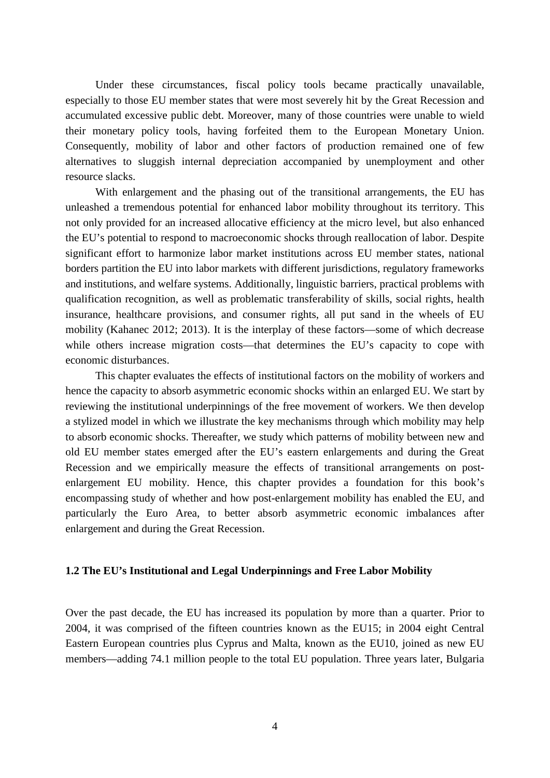Under these circumstances, fiscal policy tools became practically unavailable, especially to those EU member states that were most severely hit by the Great Recession and accumulated excessive public debt. Moreover, many of those countries were unable to wield their monetary policy tools, having forfeited them to the European Monetary Union. Consequently, mobility of labor and other factors of production remained one of few alternatives to sluggish internal depreciation accompanied by unemployment and other resource slacks.

With enlargement and the phasing out of the transitional arrangements, the EU has unleashed a tremendous potential for enhanced labor mobility throughout its territory. This not only provided for an increased allocative efficiency at the micro level, but also enhanced the EU's potential to respond to macroeconomic shocks through reallocation of labor. Despite significant effort to harmonize labor market institutions across EU member states, national borders partition the EU into labor markets with different jurisdictions, regulatory frameworks and institutions, and welfare systems. Additionally, linguistic barriers, practical problems with qualification recognition, as well as problematic transferability of skills, social rights, health insurance, healthcare provisions, and consumer rights, all put sand in the wheels of EU mobility (Kahanec 2012; 2013). It is the interplay of these factors—some of which decrease while others increase migration costs—that determines the EU's capacity to cope with economic disturbances.

This chapter evaluates the effects of institutional factors on the mobility of workers and hence the capacity to absorb asymmetric economic shocks within an enlarged EU. We start by reviewing the institutional underpinnings of the free movement of workers. We then develop a stylized model in which we illustrate the key mechanisms through which mobility may help to absorb economic shocks. Thereafter, we study which patterns of mobility between new and old EU member states emerged after the EU's eastern enlargements and during the Great Recession and we empirically measure the effects of transitional arrangements on postenlargement EU mobility. Hence, this chapter provides a foundation for this book's encompassing study of whether and how post-enlargement mobility has enabled the EU, and particularly the Euro Area, to better absorb asymmetric economic imbalances after enlargement and during the Great Recession.

#### **1.2 The EU's Institutional and Legal Underpinnings and Free Labor Mobility**

Over the past decade, the EU has increased its population by more than a quarter. Prior to 2004, it was comprised of the fifteen countries known as the EU15; in 2004 eight Central Eastern European countries plus Cyprus and Malta, known as the EU10, joined as new EU members—adding 74.1 million people to the total EU population. Three years later, Bulgaria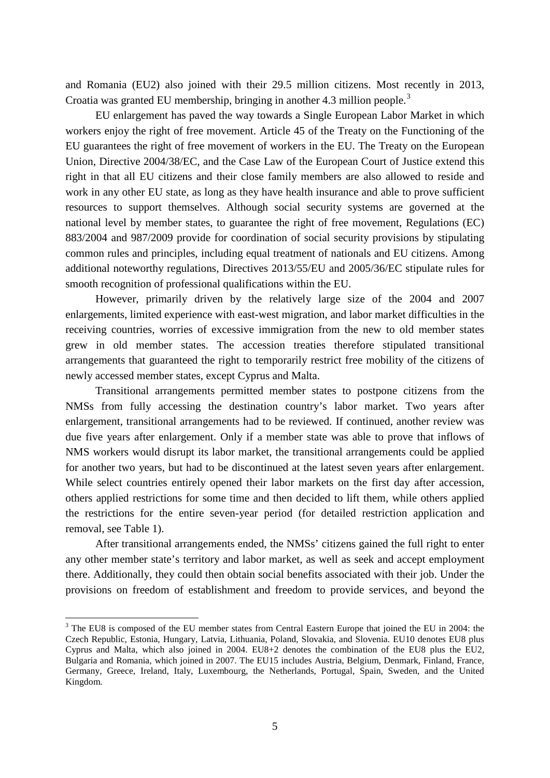and Romania (EU2) also joined with their 29.5 million citizens. Most recently in 2013, Croatia was granted EU membership, bringing in another 4.[3](#page-4-1) million people.<sup>3</sup>

EU enlargement has paved the way towards a Single European Labor Market in which workers enjoy the right of free movement. Article 45 of the Treaty on the Functioning of the EU guarantees the right of free movement of workers in the EU. The Treaty on the European Union, Directive 2004/38/EC, and the Case Law of the European Court of Justice extend this right in that all EU citizens and their close family members are also allowed to reside and work in any other EU state, as long as they have health insurance and able to prove sufficient resources to support themselves. Although social security systems are governed at the national level by member states, to guarantee the right of free movement, Regulations (EC) 883/2004 and 987/2009 provide for coordination of social security provisions by stipulating common rules and principles, including equal treatment of nationals and EU citizens. Among additional noteworthy regulations, Directives 2013/55/EU and 2005/36/EC stipulate rules for smooth recognition of professional qualifications within the EU.

However, primarily driven by the relatively large size of the 2004 and 2007 enlargements, limited experience with east-west migration, and labor market difficulties in the receiving countries, worries of excessive immigration from the new to old member states grew in old member states. The accession treaties therefore stipulated transitional arrangements that guaranteed the right to temporarily restrict free mobility of the citizens of newly accessed member states, except Cyprus and Malta.

Transitional arrangements permitted member states to postpone citizens from the NMSs from fully accessing the destination country's labor market. Two years after enlargement, transitional arrangements had to be reviewed. If continued, another review was due five years after enlargement. Only if a member state was able to prove that inflows of NMS workers would disrupt its labor market, the transitional arrangements could be applied for another two years, but had to be discontinued at the latest seven years after enlargement. While select countries entirely opened their labor markets on the first day after accession, others applied restrictions for some time and then decided to lift them, while others applied the restrictions for the entire seven-year period (for detailed restriction application and removal, see Table 1).

After transitional arrangements ended, the NMSs' citizens gained the full right to enter any other member state's territory and labor market, as well as seek and accept employment there. Additionally, they could then obtain social benefits associated with their job. Under the provisions on freedom of establishment and freedom to provide services, and beyond the

<span id="page-6-0"></span><sup>&</sup>lt;sup>3</sup> The EU8 is composed of the EU member states from Central Eastern Europe that joined the EU in 2004: the Czech Republic, Estonia, Hungary, Latvia, Lithuania, Poland, Slovakia, and Slovenia. EU10 denotes EU8 plus Cyprus and Malta, which also joined in 2004. EU8+2 denotes the combination of the EU8 plus the EU2, Bulgaria and Romania, which joined in 2007. The EU15 includes Austria, Belgium, Denmark, Finland, France, Germany, Greece, Ireland, Italy, Luxembourg, the Netherlands, Portugal, Spain, Sweden, and the United Kingdom.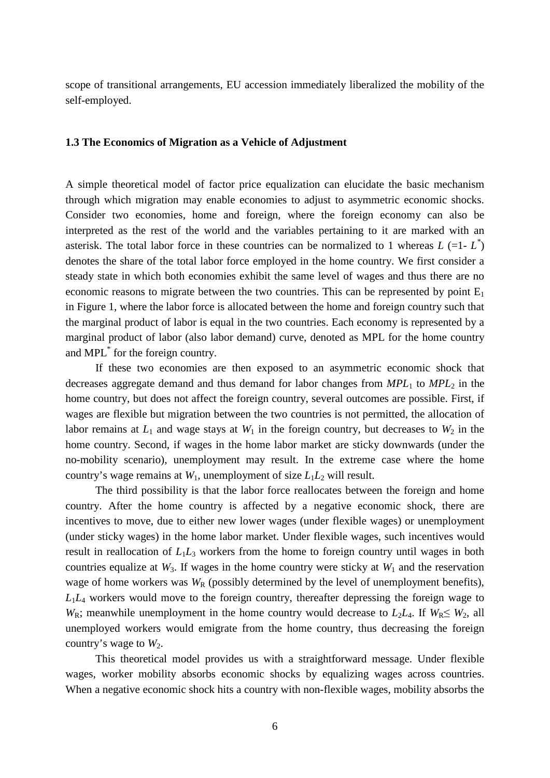scope of transitional arrangements, EU accession immediately liberalized the mobility of the self-employed.

#### **1.3 The Economics of Migration as a Vehicle of Adjustment**

A simple theoretical model of factor price equalization can elucidate the basic mechanism through which migration may enable economies to adjust to asymmetric economic shocks. Consider two economies, home and foreign, where the foreign economy can also be interpreted as the rest of the world and the variables pertaining to it are marked with an asterisk. The total labor force in these countries can be normalized to 1 whereas  $L$  (=1- $L^*$ ) denotes the share of the total labor force employed in the home country. We first consider a steady state in which both economies exhibit the same level of wages and thus there are no economic reasons to migrate between the two countries. This can be represented by point  $E_1$ in Figure 1, where the labor force is allocated between the home and foreign country such that the marginal product of labor is equal in the two countries. Each economy is represented by a marginal product of labor (also labor demand) curve, denoted as MPL for the home country and MPL<sup>\*</sup> for the foreign country.

If these two economies are then exposed to an asymmetric economic shock that decreases aggregate demand and thus demand for labor changes from  $MPL_1$  to  $MPL_2$  in the home country, but does not affect the foreign country, several outcomes are possible. First, if wages are flexible but migration between the two countries is not permitted, the allocation of labor remains at  $L_1$  and wage stays at  $W_1$  in the foreign country, but decreases to  $W_2$  in the home country. Second, if wages in the home labor market are sticky downwards (under the no-mobility scenario), unemployment may result. In the extreme case where the home country's wage remains at  $W_1$ , unemployment of size  $L_1L_2$  will result.

The third possibility is that the labor force reallocates between the foreign and home country. After the home country is affected by a negative economic shock, there are incentives to move, due to either new lower wages (under flexible wages) or unemployment (under sticky wages) in the home labor market. Under flexible wages, such incentives would result in reallocation of  $L_1L_3$  workers from the home to foreign country until wages in both countries equalize at  $W_3$ . If wages in the home country were sticky at  $W_1$  and the reservation wage of home workers was  $W_R$  (possibly determined by the level of unemployment benefits),  $L_1L_4$  workers would move to the foreign country, thereafter depressing the foreign wage to *W*<sub>R</sub>; meanwhile unemployment in the home country would decrease to  $L_2L_4$ . If  $W_R \leq W_2$ , all unemployed workers would emigrate from the home country, thus decreasing the foreign country's wage to  $W_2$ .

This theoretical model provides us with a straightforward message. Under flexible wages, worker mobility absorbs economic shocks by equalizing wages across countries. When a negative economic shock hits a country with non-flexible wages, mobility absorbs the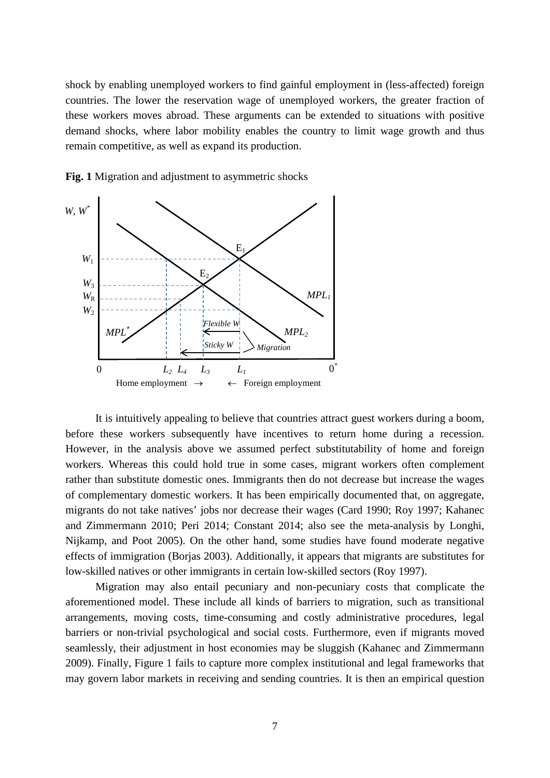shock by enabling unemployed workers to find gainful employment in (less-affected) foreign countries. The lower the reservation wage of unemployed workers, the greater fraction of these workers moves abroad. These arguments can be extended to situations with positive demand shocks, where labor mobility enables the country to limit wage growth and thus remain competitive, as well as expand its production.



**Fig. 1** Migration and adjustment to asymmetric shocks

It is intuitively appealing to believe that countries attract guest workers during a boom, before these workers subsequently have incentives to return home during a recession. However, in the analysis above we assumed perfect substitutability of home and foreign workers. Whereas this could hold true in some cases, migrant workers often complement rather than substitute domestic ones. Immigrants then do not decrease but increase the wages of complementary domestic workers. It has been empirically documented that, on aggregate, migrants do not take natives' jobs nor decrease their wages (Card 1990; Roy 1997; Kahanec and Zimmermann 2010; Peri 2014; Constant 2014; also see the meta-analysis by Longhi, Nijkamp, and Poot 2005). On the other hand, some studies have found moderate negative effects of immigration (Borjas 2003). Additionally, it appears that migrants are substitutes for low-skilled natives or other immigrants in certain low-skilled sectors (Roy 1997).

Migration may also entail pecuniary and non-pecuniary costs that complicate the aforementioned model. These include all kinds of barriers to migration, such as transitional arrangements, moving costs, time-consuming and costly administrative procedures, legal barriers or non-trivial psychological and social costs. Furthermore, even if migrants moved seamlessly, their adjustment in host economies may be sluggish (Kahanec and Zimmermann 2009). Finally, Figure 1 fails to capture more complex institutional and legal frameworks that may govern labor markets in receiving and sending countries. It is then an empirical question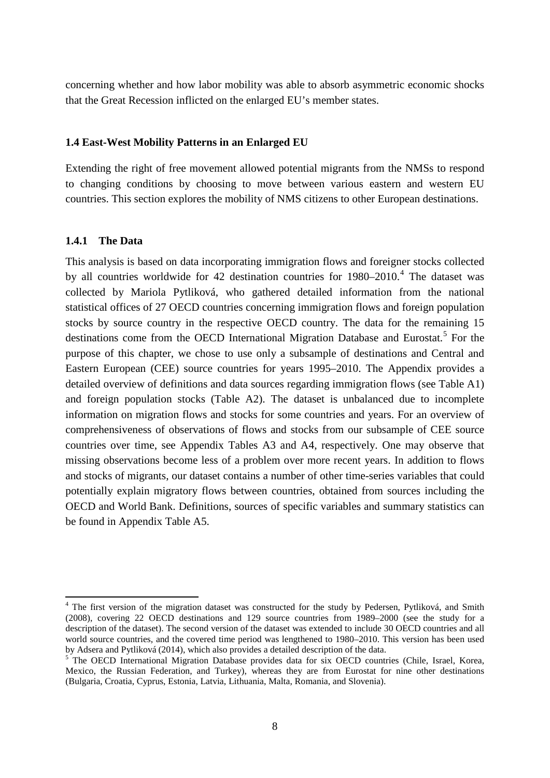concerning whether and how labor mobility was able to absorb asymmetric economic shocks that the Great Recession inflicted on the enlarged EU's member states.

#### **1.4 East-West Mobility Patterns in an Enlarged EU**

Extending the right of free movement allowed potential migrants from the NMSs to respond to changing conditions by choosing to move between various eastern and western EU countries. This section explores the mobility of NMS citizens to other European destinations.

#### **1.4.1 The Data**

This analysis is based on data incorporating immigration flows and foreigner stocks collected by all countries worldwide for 42 destination countries for 1980–2010. [4](#page-6-0) The dataset was collected by Mariola Pytliková, who gathered detailed information from the national statistical offices of 27 OECD countries concerning immigration flows and foreign population stocks by source country in the respective OECD country. The data for the remaining 15 destinations come from the OECD International Migration Database and Eurostat.<sup>[5](#page-9-0)</sup> For the purpose of this chapter, we chose to use only a subsample of destinations and Central and Eastern European (CEE) source countries for years 1995–2010. The Appendix provides a detailed overview of definitions and data sources regarding immigration flows (see Table A1) and foreign population stocks (Table A2). The dataset is unbalanced due to incomplete information on migration flows and stocks for some countries and years. For an overview of comprehensiveness of observations of flows and stocks from our subsample of CEE source countries over time, see Appendix Tables A3 and A4, respectively. One may observe that missing observations become less of a problem over more recent years. In addition to flows and stocks of migrants, our dataset contains a number of other time-series variables that could potentially explain migratory flows between countries, obtained from sources including the OECD and World Bank. Definitions, sources of specific variables and summary statistics can be found in Appendix Table A5.

<sup>&</sup>lt;sup>4</sup> The first version of the migration dataset was constructed for the study by Pedersen, Pytliková, and Smith (2008), covering 22 OECD destinations and 129 source countries from 1989–2000 (see the study for a description of the dataset). The second version of the dataset was extended to include 30 OECD countries and all world source countries, and the covered time period was lengthened to 1980–2010. This version has been used<br>by Adsera and Pytliková (2014), which also provides a detailed description of the data.

<span id="page-9-1"></span><span id="page-9-0"></span><sup>&</sup>lt;sup>5</sup> The OECD International Migration Database provides data for six OECD countries (Chile, Israel, Korea, Mexico, the Russian Federation, and Turkey), whereas they are from Eurostat for nine other destinations (Bulgaria, Croatia, Cyprus, Estonia, Latvia, Lithuania, Malta, Romania, and Slovenia).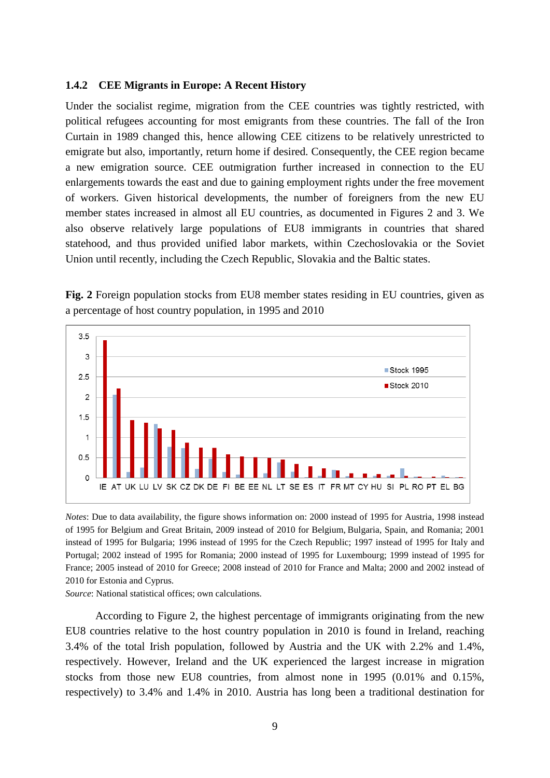#### **1.4.2 CEE Migrants in Europe: A Recent History**

Under the socialist regime, migration from the CEE countries was tightly restricted, with political refugees accounting for most emigrants from these countries. The fall of the Iron Curtain in 1989 changed this, hence allowing CEE citizens to be relatively unrestricted to emigrate but also, importantly, return home if desired. Consequently, the CEE region became a new emigration source. CEE outmigration further increased in connection to the EU enlargements towards the east and due to gaining employment rights under the free movement of workers. Given historical developments, the number of foreigners from the new EU member states increased in almost all EU countries, as documented in Figures 2 and 3. We also observe relatively large populations of EU8 immigrants in countries that shared statehood, and thus provided unified labor markets, within Czechoslovakia or the Soviet Union until recently, including the Czech Republic, Slovakia and the Baltic states.





*Notes*: Due to data availability, the figure shows information on: 2000 instead of 1995 for Austria, 1998 instead of 1995 for Belgium and Great Britain, 2009 instead of 2010 for Belgium, Bulgaria, Spain, and Romania; 2001 instead of 1995 for Bulgaria; 1996 instead of 1995 for the Czech Republic; 1997 instead of 1995 for Italy and Portugal; 2002 instead of 1995 for Romania; 2000 instead of 1995 for Luxembourg; 1999 instead of 1995 for France; 2005 instead of 2010 for Greece; 2008 instead of 2010 for France and Malta; 2000 and 2002 instead of 2010 for Estonia and Cyprus.

*Source*: National statistical offices; own calculations.

According to Figure 2, the highest percentage of immigrants originating from the new EU8 countries relative to the host country population in 2010 is found in Ireland, reaching 3.4% of the total Irish population, followed by Austria and the UK with 2.2% and 1.4%, respectively. However, Ireland and the UK experienced the largest increase in migration stocks from those new EU8 countries, from almost none in 1995 (0.01% and 0.15%, respectively) to 3.4% and 1.4% in 2010. Austria has long been a traditional destination for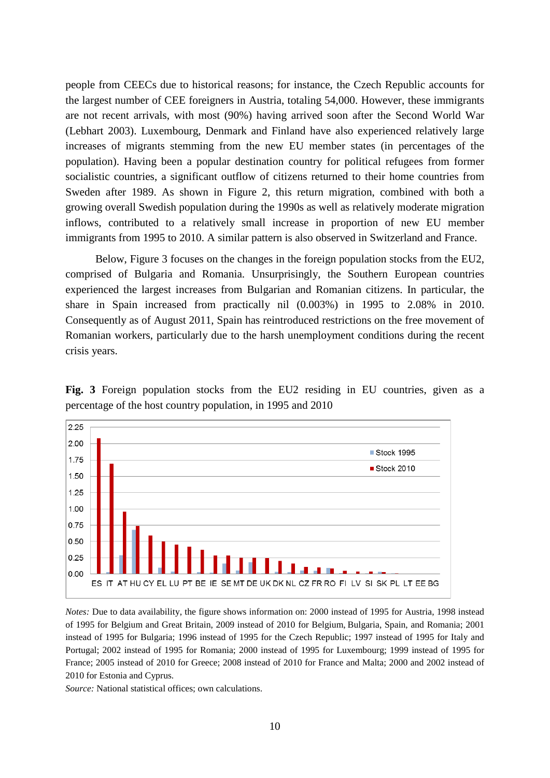people from CEECs due to historical reasons; for instance, the Czech Republic accounts for the largest number of CEE foreigners in Austria, totaling 54,000. However, these immigrants are not recent arrivals, with most (90%) having arrived soon after the Second World War (Lebhart 2003). Luxembourg, Denmark and Finland have also experienced relatively large increases of migrants stemming from the new EU member states (in percentages of the population). Having been a popular destination country for political refugees from former socialistic countries, a significant outflow of citizens returned to their home countries from Sweden after 1989. As shown in Figure 2, this return migration, combined with both a growing overall Swedish population during the 1990s as well as relatively moderate migration inflows, contributed to a relatively small increase in proportion of new EU member immigrants from 1995 to 2010. A similar pattern is also observed in Switzerland and France.

Below, Figure 3 focuses on the changes in the foreign population stocks from the EU2, comprised of Bulgaria and Romania. Unsurprisingly, the Southern European countries experienced the largest increases from Bulgarian and Romanian citizens. In particular, the share in Spain increased from practically nil (0.003%) in 1995 to 2.08% in 2010. Consequently as of August 2011, Spain has reintroduced restrictions on the free movement of Romanian workers, particularly due to the harsh unemployment conditions during the recent crisis years.





*Notes:* Due to data availability, the figure shows information on: 2000 instead of 1995 for Austria, 1998 instead of 1995 for Belgium and Great Britain, 2009 instead of 2010 for Belgium, Bulgaria, Spain, and Romania; 2001 instead of 1995 for Bulgaria; 1996 instead of 1995 for the Czech Republic; 1997 instead of 1995 for Italy and Portugal; 2002 instead of 1995 for Romania; 2000 instead of 1995 for Luxembourg; 1999 instead of 1995 for France; 2005 instead of 2010 for Greece; 2008 instead of 2010 for France and Malta; 2000 and 2002 instead of 2010 for Estonia and Cyprus.

*Source:* National statistical offices; own calculations.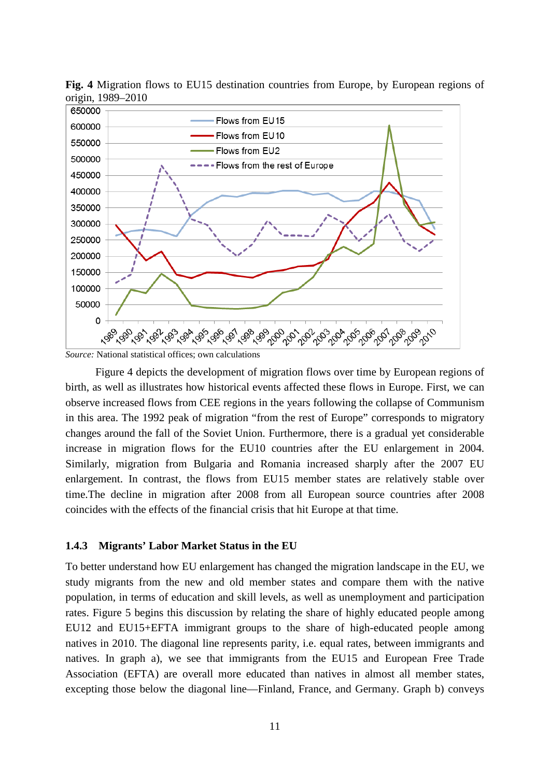

**Fig. 4** Migration flows to EU15 destination countries from Europe, by European regions of origin,  $1989-2010$ 

*Source:* National statistical offices; own calculations

Figure 4 depicts the development of migration flows over time by European regions of birth, as well as illustrates how historical events affected these flows in Europe. First, we can observe increased flows from CEE regions in the years following the collapse of Communism in this area. The 1992 peak of migration "from the rest of Europe" corresponds to migratory changes around the fall of the Soviet Union. Furthermore, there is a gradual yet considerable increase in migration flows for the EU10 countries after the EU enlargement in 2004. Similarly, migration from Bulgaria and Romania increased sharply after the 2007 EU enlargement. In contrast, the flows from EU15 member states are relatively stable over time.The decline in migration after 2008 from all European source countries after 2008 coincides with the effects of the financial crisis that hit Europe at that time.

#### **1.4.3 Migrants' Labor Market Status in the EU**

To better understand how EU enlargement has changed the migration landscape in the EU, we study migrants from the new and old member states and compare them with the native population, in terms of education and skill levels, as well as unemployment and participation rates. Figure 5 begins this discussion by relating the share of highly educated people among EU12 and EU15+EFTA immigrant groups to the share of high-educated people among natives in 2010. The diagonal line represents parity, i.e. equal rates, between immigrants and natives. In graph a), we see that immigrants from the EU15 and European Free Trade Association (EFTA) are overall more educated than natives in almost all member states, excepting those below the diagonal line—Finland, France, and Germany. Graph b) conveys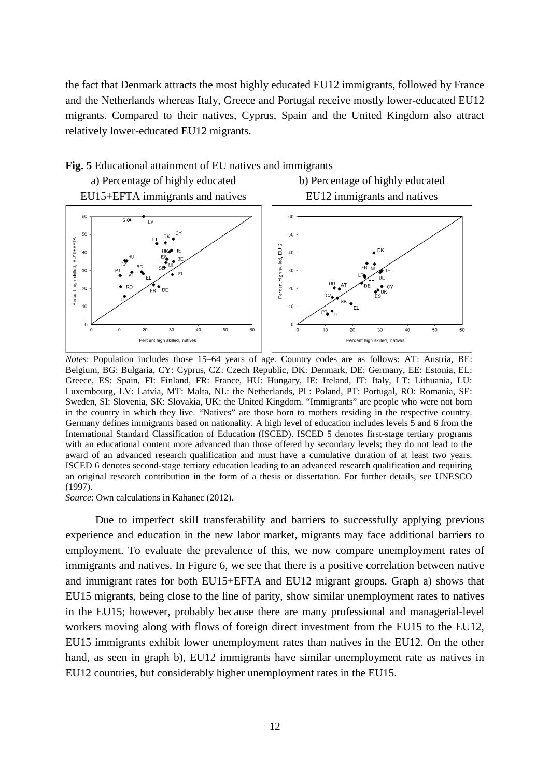the fact that Denmark attracts the most highly educated EU12 immigrants, followed by France and the Netherlands whereas Italy, Greece and Portugal receive mostly lower-educated EU12 migrants. Compared to their natives, Cyprus, Spain and the United Kingdom also attract relatively lower-educated EU12 migrants.

#### **Fig. 5** Educational attainment of EU natives and immigrants



*Notes*: Population includes those 15–64 years of age. Country codes are as follows: AT: Austria, BE: Belgium, BG: Bulgaria, CY: Cyprus, CZ: Czech Republic, DK: Denmark, DE: Germany, EE: Estonia, EL: Greece, ES: Spain, FI: Finland, FR: France, HU: Hungary, IE: Ireland, IT: Italy, LT: Lithuania, LU: Luxembourg, LV: Latvia, MT: Malta, NL: the Netherlands, PL: Poland, PT: Portugal, RO: Romania, SE: Sweden, SI: Slovenia, SK: Slovakia, UK: the United Kingdom. "Immigrants" are people who were not born in the country in which they live. "Natives" are those born to mothers residing in the respective country. Germany defines immigrants based on nationality. A high level of education includes levels 5 and 6 from the International Standard Classification of Education (ISCED). ISCED 5 denotes first-stage tertiary programs with an educational content more advanced than those offered by secondary levels; they do not lead to the award of an advanced research qualification and must have a cumulative duration of at least two years. ISCED 6 denotes second-stage tertiary education leading to an advanced research qualification and requiring an original research contribution in the form of a thesis or dissertation. For further details, see UNESCO (1997).

*Source*: Own calculations in Kahanec (2012).

Due to imperfect skill transferability and barriers to successfully applying previous experience and education in the new labor market, migrants may face additional barriers to employment. To evaluate the prevalence of this, we now compare unemployment rates of immigrants and natives. In Figure 6, we see that there is a positive correlation between native and immigrant rates for both EU15+EFTA and EU12 migrant groups. Graph a) shows that EU15 migrants, being close to the line of parity, show similar unemployment rates to natives in the EU15; however, probably because there are many professional and managerial-level workers moving along with flows of foreign direct investment from the EU15 to the EU12, EU15 immigrants exhibit lower unemployment rates than natives in the EU12. On the other hand, as seen in graph b), EU12 immigrants have similar unemployment rate as natives in EU12 countries, but considerably higher unemployment rates in the EU15.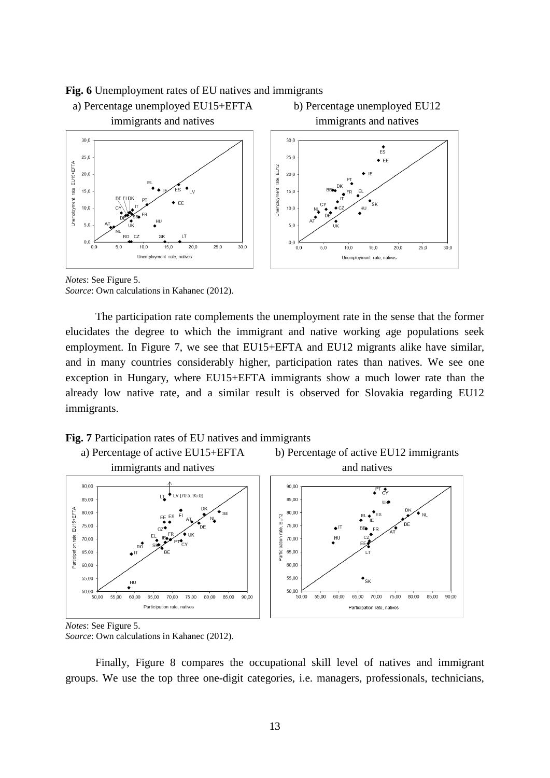#### **Fig. 6** Unemployment rates of EU natives and immigrants



*Notes*: See Figure 5. *Source*: Own calculations in Kahanec (2012).

The participation rate complements the unemployment rate in the sense that the former elucidates the degree to which the immigrant and native working age populations seek employment. In Figure 7, we see that EU15+EFTA and EU12 migrants alike have similar, and in many countries considerably higher, participation rates than natives. We see one exception in Hungary, where EU15+EFTA immigrants show a much lower rate than the already low native rate, and a similar result is observed for Slovakia regarding EU12 immigrants.

#### **Fig. 7** Participation rates of EU natives and immigrants

a) Percentage of active EU15+EFTA immigrants and natives







*Notes*: See Figure 5.

*Source*: Own calculations in Kahanec (2012).

Finally, Figure 8 compares the occupational skill level of natives and immigrant groups. We use the top three one-digit categories, i.e. managers, professionals, technicians,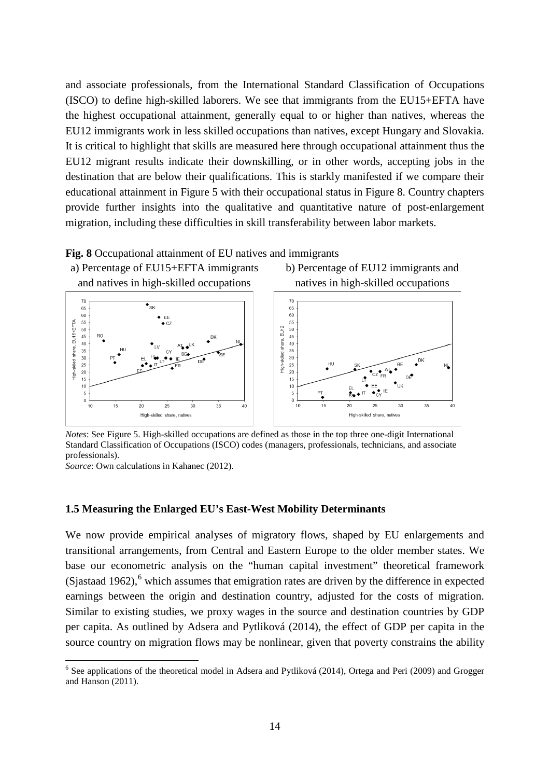and associate professionals, from the International Standard Classification of Occupations (ISCO) to define high-skilled laborers. We see that immigrants from the EU15+EFTA have the highest occupational attainment, generally equal to or higher than natives, whereas the EU12 immigrants work in less skilled occupations than natives, except Hungary and Slovakia. It is critical to highlight that skills are measured here through occupational attainment thus the EU12 migrant results indicate their downskilling, or in other words, accepting jobs in the destination that are below their qualifications. This is starkly manifested if we compare their educational attainment in Figure 5 with their occupational status in Figure 8. Country chapters provide further insights into the qualitative and quantitative nature of post-enlargement migration, including these difficulties in skill transferability between labor markets.

b) Percentage of EU12 immigrants and

 $40$ 

#### **Fig. 8** Occupational attainment of EU natives and immigrants





*Notes*: See Figure 5. High-skilled occupations are defined as those in the top three one-digit International Standard Classification of Occupations (ISCO) codes (managers, professionals, technicians, and associate professionals).

*Source*: Own calculations in Kahanec (2012).

#### **1.5 Measuring the Enlarged EU's East-West Mobility Determinants**

We now provide empirical analyses of migratory flows, shaped by EU enlargements and transitional arrangements, from Central and Eastern Europe to the older member states. We base our econometric analysis on the "human capital investment" theoretical framework (Sjastaad 19[6](#page-9-1)2), $<sup>6</sup>$  which assumes that emigration rates are driven by the difference in expected</sup> earnings between the origin and destination country, adjusted for the costs of migration. Similar to existing studies, we proxy wages in the source and destination countries by GDP per capita. As outlined by Adsera and Pytliková (2014), the effect of GDP per capita in the source country on migration flows may be nonlinear, given that poverty constrains the ability

<span id="page-15-0"></span><sup>&</sup>lt;sup>6</sup> See applications of the theoretical model in Adsera and Pytliková (2014), Ortega and Peri (2009) and Grogger and Hanson (2011).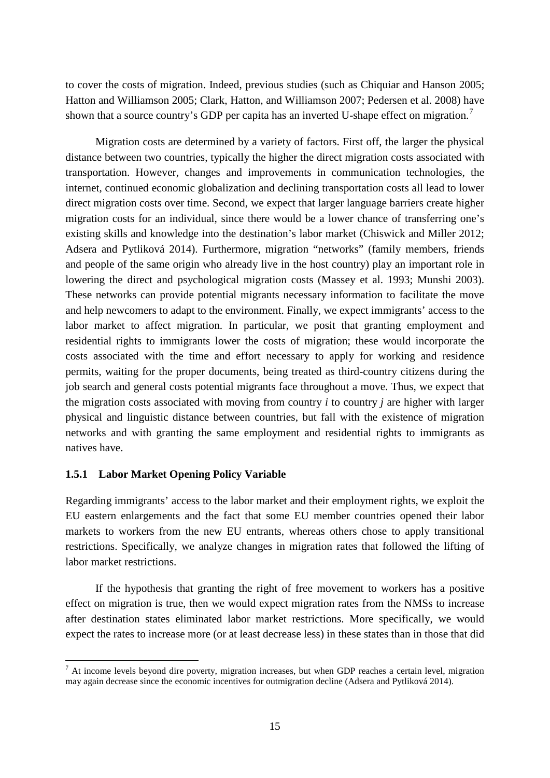to cover the costs of migration. Indeed, previous studies (such as Chiquiar and Hanson 2005; Hatton and Williamson 2005; Clark, Hatton, and Williamson 2007; Pedersen et al. 2008) have shown that a source country's GDP per capita has an inverted U-shape effect on migration.<sup>[7](#page-15-0)</sup>

Migration costs are determined by a variety of factors. First off, the larger the physical distance between two countries, typically the higher the direct migration costs associated with transportation. However, changes and improvements in communication technologies, the internet, continued economic globalization and declining transportation costs all lead to lower direct migration costs over time. Second, we expect that larger language barriers create higher migration costs for an individual, since there would be a lower chance of transferring one's existing skills and knowledge into the destination's labor market (Chiswick and Miller 2012; Adsera and Pytliková 2014). Furthermore, migration "networks" (family members, friends and people of the same origin who already live in the host country) play an important role in lowering the direct and psychological migration costs (Massey et al. 1993; Munshi 2003). These networks can provide potential migrants necessary information to facilitate the move and help newcomers to adapt to the environment. Finally, we expect immigrants' access to the labor market to affect migration. In particular, we posit that granting employment and residential rights to immigrants lower the costs of migration; these would incorporate the costs associated with the time and effort necessary to apply for working and residence permits, waiting for the proper documents, being treated as third-country citizens during the job search and general costs potential migrants face throughout a move. Thus, we expect that the migration costs associated with moving from country *i* to country *j* are higher with larger physical and linguistic distance between countries, but fall with the existence of migration networks and with granting the same employment and residential rights to immigrants as natives have.

#### **1.5.1 Labor Market Opening Policy Variable**

Regarding immigrants' access to the labor market and their employment rights, we exploit the EU eastern enlargements and the fact that some EU member countries opened their labor markets to workers from the new EU entrants, whereas others chose to apply transitional restrictions. Specifically, we analyze changes in migration rates that followed the lifting of labor market restrictions.

If the hypothesis that granting the right of free movement to workers has a positive effect on migration is true, then we would expect migration rates from the NMSs to increase after destination states eliminated labor market restrictions. More specifically, we would expect the rates to increase more (or at least decrease less) in these states than in those that did

<span id="page-16-0"></span> $7$  At income levels beyond dire poverty, migration increases, but when GDP reaches a certain level, migration may again decrease since the economic incentives for outmigration decline (Adsera and Pytliková 2014).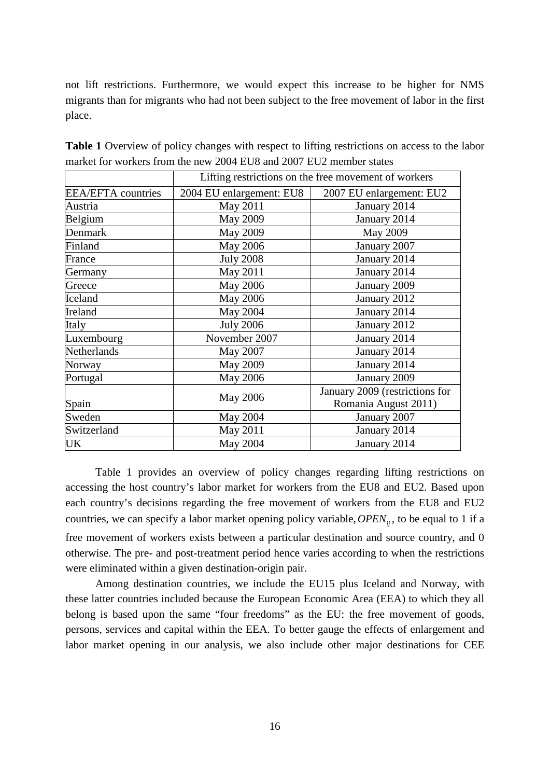not lift restrictions. Furthermore, we would expect this increase to be higher for NMS migrants than for migrants who had not been subject to the free movement of labor in the first place.

|                           |                          | Lifting restrictions on the free movement of workers |
|---------------------------|--------------------------|------------------------------------------------------|
| <b>EEA/EFTA</b> countries | 2004 EU enlargement: EU8 | 2007 EU enlargement: EU2                             |
| Austria                   | May 2011                 | January 2014                                         |
| Belgium                   | May 2009                 | January 2014                                         |
| Denmark                   | <b>May 2009</b>          | <b>May 2009</b>                                      |
| Finland                   | May 2006                 | January 2007                                         |
| France                    | <b>July 2008</b>         | January 2014                                         |
| Germany                   | May 2011                 | January 2014                                         |
| Greece                    | May 2006                 | January 2009                                         |
| Iceland                   | May 2006                 | January 2012                                         |
| Ireland                   | May 2004                 | January 2014                                         |
| Italy                     | <b>July 2006</b>         | January 2012                                         |
| Luxembourg                | November 2007            | January 2014                                         |
| Netherlands               | May 2007                 | January 2014                                         |
| Norway                    | <b>May 2009</b>          | January 2014                                         |
| Portugal                  | May 2006                 | January 2009                                         |
|                           | May 2006                 | January 2009 (restrictions for                       |
| Spain                     |                          | Romania August 2011)                                 |
| Sweden                    | May 2004                 | January 2007                                         |
| Switzerland               | May 2011                 | January 2014                                         |
| UK                        | May 2004                 | January 2014                                         |

**Table 1** Overview of policy changes with respect to lifting restrictions on access to the labor market for workers from the new 2004 EU8 and 2007 EU2 member states

Table 1 provides an overview of policy changes regarding lifting restrictions on accessing the host country's labor market for workers from the EU8 and EU2. Based upon each country's decisions regarding the free movement of workers from the EU8 and EU2 countries, we can specify a labor market opening policy variable, *OPEN<sub>ii</sub>*, to be equal to 1 if a free movement of workers exists between a particular destination and source country, and 0 otherwise. The pre- and post-treatment period hence varies according to when the restrictions were eliminated within a given destination-origin pair.

Among destination countries, we include the EU15 plus Iceland and Norway, with these latter countries included because the European Economic Area (EEA) to which they all belong is based upon the same "four freedoms" as the EU: the free movement of goods, persons, services and capital within the EEA. To better gauge the effects of enlargement and labor market opening in our analysis, we also include other major destinations for CEE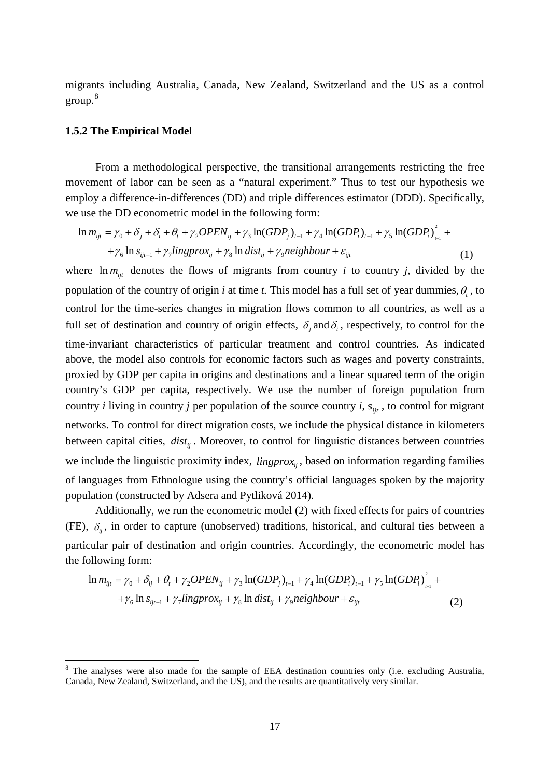migrants including Australia, Canada, New Zealand, Switzerland and the US as a control group. [8](#page-16-0)

#### **1.5.2 The Empirical Model**

From a methodological perspective, the transitional arrangements restricting the free movement of labor can be seen as a "natural experiment." Thus to test our hypothesis we employ a difference-in-differences (DD) and triple differences estimator (DDD). Specifically, we use the DD econometric model in the following form:

$$
\ln m_{ijt} = \gamma_0 + \delta_j + \delta_i + \theta_t + \gamma_2 OPEN_{ij} + \gamma_3 \ln(GDP_j)_{t-1} + \gamma_4 \ln(GDP_i)_{t-1} + \gamma_5 \ln(GDP_i)_{t-1}^2 +
$$
  
+ $\gamma_6 \ln s_{ijt-1} + \gamma_7 \ln \frac{grov_j}{f} + \gamma_8 \ln \frac{dist_{ij}}{f} + \gamma_9 \frac{neighbor}{f} + \varepsilon_{ijt}$  (1)

where  $\ln m_{ii}$  denotes the flows of migrants from country *i* to country *j*, divided by the population of the country of origin *i* at time *t*. This model has a full set of year dummies,  $\theta$ , to control for the time-series changes in migration flows common to all countries, as well as a full set of destination and country of origin effects,  $\delta_i$  and  $\delta_i$ , respectively, to control for the time-invariant characteristics of particular treatment and control countries. As indicated above, the model also controls for economic factors such as wages and poverty constraints, proxied by GDP per capita in origins and destinations and a linear squared term of the origin country's GDP per capita, respectively. We use the number of foreign population from country *i* living in country *j* per population of the source country *i*,  $s_{\text{int}}$ , to control for migrant networks. To control for direct migration costs, we include the physical distance in kilometers between capital cities, *dist<sub>ii</sub>*. Moreover, to control for linguistic distances between countries we include the linguistic proximity index, *lingprox<sub>ii</sub>*, based on information regarding families of languages from Ethnologue using the country's official languages spoken by the majority population (constructed by Adsera and Pytliková 2014).

Additionally, we run the econometric model (2) with fixed effects for pairs of countries (FE),  $\delta_{ii}$ , in order to capture (unobserved) traditions, historical, and cultural ties between a particular pair of destination and origin countries. Accordingly, the econometric model has the following form:

<span id="page-18-0"></span>
$$
\ln m_{ijt} = \gamma_0 + \delta_{ij} + \theta_t + \gamma_2 OPEN_{ij} + \gamma_3 \ln(GDP_j)_{t-1} + \gamma_4 \ln(GDP_i)_{t-1} + \gamma_5 \ln(GDP_i)_{t-1}^2 +
$$
  
+ $\gamma_6 \ln s_{ijt-1} + \gamma_7 \ln \frac{gr_{i} + \gamma_8 \ln \frac{dist}{ij} + \gamma_9 \neq \frac{sign_{i} \ln \frac{df_{ij}}{f}}{g_{ijt-1} + \gamma_9 \ln \frac{df_{ij}}{f}} \tag{2}$ 

<sup>&</sup>lt;sup>8</sup> The analyses were also made for the sample of EEA destination countries only (i.e. excluding Australia, Canada, New Zealand, Switzerland, and the US), and the results are quantitatively very similar.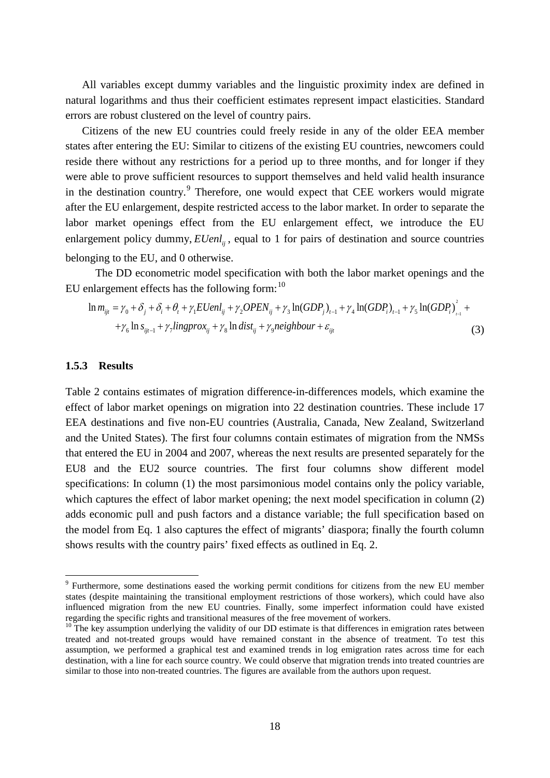All variables except dummy variables and the linguistic proximity index are defined in natural logarithms and thus their coefficient estimates represent impact elasticities. Standard errors are robust clustered on the level of country pairs.

Citizens of the new EU countries could freely reside in any of the older EEA member states after entering the EU: Similar to citizens of the existing EU countries, newcomers could reside there without any restrictions for a period up to three months, and for longer if they were able to prove sufficient resources to support themselves and held valid health insurance in the destination country.<sup>[9](#page-18-0)</sup> Therefore, one would expect that CEE workers would migrate after the EU enlargement, despite restricted access to the labor market. In order to separate the labor market openings effect from the EU enlargement effect, we introduce the EU enlargement policy dummy, *EUenl<sub>ii</sub>*, equal to 1 for pairs of destination and source countries belonging to the EU, and 0 otherwise.

The DD econometric model specification with both the labor market openings and the EU enlargement effects has the following form:  $10$ 

$$
\ln m_{ijt} = \gamma_0 + \delta_j + \delta_i + \theta_t + \gamma_1 EUenl_{ij} + \gamma_2 OPEN_{ij} + \gamma_3 \ln(GDP_j)_{t-1} + \gamma_4 \ln(GDP_i)_{t-1} + \gamma_5 \ln(GDP_i)_{t-1}^2 +
$$
  
+ $\gamma_6 \ln s_{ijt-1} + \gamma_7 \ln(gprox_{ij} + \gamma_8 \ln dist_{ij} + \gamma_9 \neq h \neq 0$  (3)

#### **1.5.3 Results**

Table 2 contains estimates of migration difference-in-differences models, which examine the effect of labor market openings on migration into 22 destination countries. These include 17 EEA destinations and five non-EU countries (Australia, Canada, New Zealand, Switzerland and the United States). The first four columns contain estimates of migration from the NMSs that entered the EU in 2004 and 2007, whereas the next results are presented separately for the EU8 and the EU2 source countries. The first four columns show different model specifications: In column (1) the most parsimonious model contains only the policy variable, which captures the effect of labor market opening; the next model specification in column (2) adds economic pull and push factors and a distance variable; the full specification based on the model from Eq. 1 also captures the effect of migrants' diaspora; finally the fourth column shows results with the country pairs' fixed effects as outlined in Eq. 2.

<sup>&</sup>lt;sup>9</sup> Furthermore, some destinations eased the working permit conditions for citizens from the new EU member states (despite maintaining the transitional employment restrictions of those workers), which could have also influenced migration from the new EU countries. Finally, some imperfect information could have existed regarding the specific rights and transitional measures of the free movement of workers.

<span id="page-19-1"></span><span id="page-19-0"></span> $10$  The key assumption underlying the validity of our DD estimate is that differences in emigration rates between treated and not-treated groups would have remained constant in the absence of treatment. To test this assumption, we performed a graphical test and examined trends in log emigration rates across time for each destination, with a line for each source country. We could observe that migration trends into treated countries are similar to those into non-treated countries. The figures are available from the authors upon request.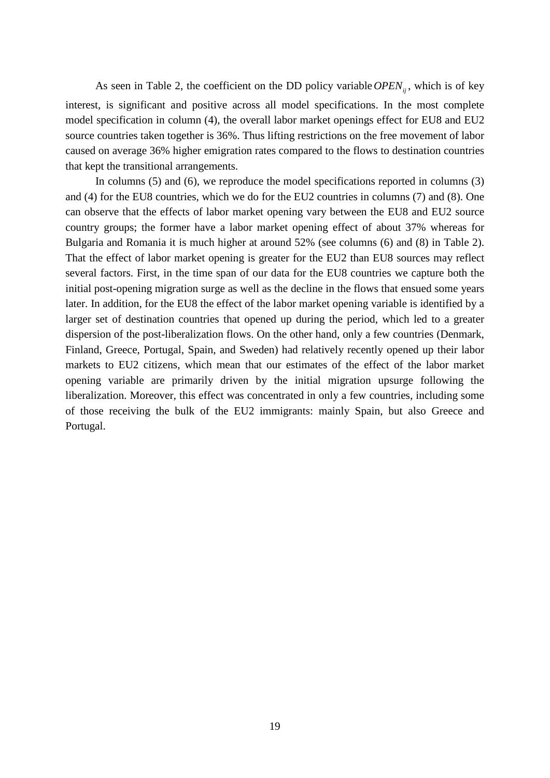As seen in Table 2, the coefficient on the DD policy variable  $OPEN_{ii}$ , which is of key interest, is significant and positive across all model specifications. In the most complete model specification in column (4), the overall labor market openings effect for EU8 and EU2 source countries taken together is 36%. Thus lifting restrictions on the free movement of labor caused on average 36% higher emigration rates compared to the flows to destination countries that kept the transitional arrangements.

In columns (5) and (6), we reproduce the model specifications reported in columns (3) and (4) for the EU8 countries, which we do for the EU2 countries in columns (7) and (8). One can observe that the effects of labor market opening vary between the EU8 and EU2 source country groups; the former have a labor market opening effect of about 37% whereas for Bulgaria and Romania it is much higher at around 52% (see columns (6) and (8) in Table 2). That the effect of labor market opening is greater for the EU2 than EU8 sources may reflect several factors. First, in the time span of our data for the EU8 countries we capture both the initial post-opening migration surge as well as the decline in the flows that ensued some years later. In addition, for the EU8 the effect of the labor market opening variable is identified by a larger set of destination countries that opened up during the period, which led to a greater dispersion of the post-liberalization flows. On the other hand, only a few countries (Denmark, Finland, Greece, Portugal, Spain, and Sweden) had relatively recently opened up their labor markets to EU2 citizens, which mean that our estimates of the effect of the labor market opening variable are primarily driven by the initial migration upsurge following the liberalization. Moreover, this effect was concentrated in only a few countries, including some of those receiving the bulk of the EU2 immigrants: mainly Spain, but also Greece and Portugal.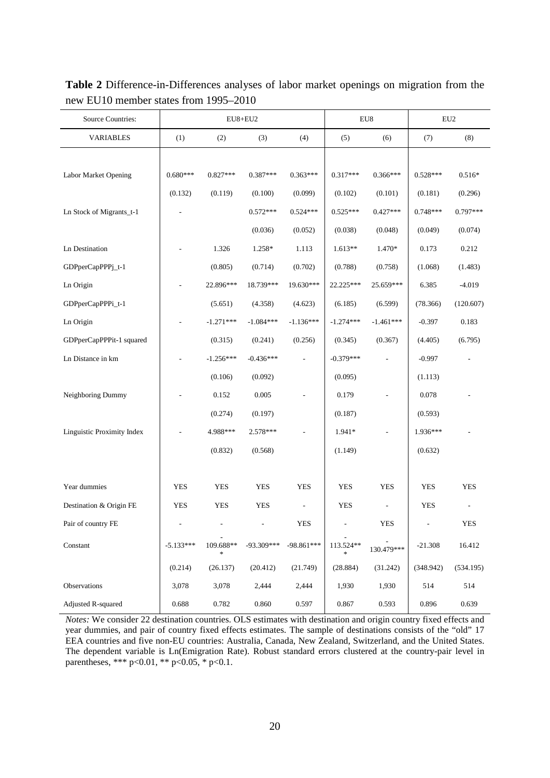**Table 2** Difference-in-Differences analyses of labor market openings on migration from the new EU10 member states from 1995–2010

| Source Countries:          |             |                | EU8+EU2      |              |                  | ${\rm EU8}$ | EU <sub>2</sub> |            |  |  |
|----------------------------|-------------|----------------|--------------|--------------|------------------|-------------|-----------------|------------|--|--|
| <b>VARIABLES</b>           | (1)         | (2)            | (3)          | (4)          | (5)              | (6)         | (7)             | (8)        |  |  |
|                            |             |                |              |              |                  |             |                 |            |  |  |
| Labor Market Opening       | $0.680***$  | $0.827***$     | $0.387***$   | $0.363***$   | $0.317***$       | $0.366***$  | $0.528***$      | $0.516*$   |  |  |
|                            | (0.132)     | (0.119)        | (0.100)      | (0.099)      | (0.102)          | (0.101)     | (0.181)         | (0.296)    |  |  |
| Ln Stock of Migrants_t-1   |             |                | $0.572***$   | $0.524***$   | $0.525***$       | $0.427***$  | $0.748***$      | 0.797***   |  |  |
|                            |             |                | (0.036)      | (0.052)      | (0.038)          | (0.048)     | (0.049)         | (0.074)    |  |  |
| Ln Destination             |             | 1.326          | 1.258*       | 1.113        | $1.613**$        | 1.470*      | 0.173           | 0.212      |  |  |
| GDPperCapPPPj_t-1          |             | (0.805)        | (0.714)      | (0.702)      | (0.788)          | (0.758)     | (1.068)         | (1.483)    |  |  |
| Ln Origin                  |             | 22.896***      | 18.739***    | 19.630***    | 22.225***        | 25.659***   | 6.385           | $-4.019$   |  |  |
| GDPperCapPPPi_t-1          |             | (5.651)        | (4.358)      | (4.623)      | (6.185)          | (6.599)     | (78.366)        | (120.607)  |  |  |
| Ln Origin                  |             | $-1.271***$    | $-1.084***$  | $-1.136***$  | $-1.274***$      | $-1.461***$ | $-0.397$        | 0.183      |  |  |
| GDPperCapPPPit-1 squared   |             | (0.315)        | (0.241)      | (0.256)      | (0.345)          | (0.367)     | (4.405)         | (6.795)    |  |  |
| Ln Distance in km          |             | $-1.256***$    | $-0.436***$  |              | $-0.379***$      |             | $-0.997$        |            |  |  |
|                            |             | (0.106)        | (0.092)      |              | (0.095)          |             | (1.113)         |            |  |  |
| Neighboring Dummy          |             | 0.152          | 0.005        |              | 0.179            |             | 0.078           |            |  |  |
|                            |             | (0.274)        | (0.197)      |              | (0.187)          |             | (0.593)         |            |  |  |
| Linguistic Proximity Index |             | 4.988***       | 2.578***     |              | 1.941*           |             | 1.936***        |            |  |  |
|                            |             | (0.832)        | (0.568)      |              | (1.149)          |             | (0.632)         |            |  |  |
|                            |             |                |              |              |                  |             |                 |            |  |  |
| Year dummies               | <b>YES</b>  | <b>YES</b>     | YES          | <b>YES</b>   | <b>YES</b>       | <b>YES</b>  | <b>YES</b>      | <b>YES</b> |  |  |
| Destination & Origin FE    | <b>YES</b>  | <b>YES</b>     | ${\rm YES}$  |              | <b>YES</b>       |             | <b>YES</b>      |            |  |  |
| Pair of country FE         |             |                |              | YES          |                  | <b>YES</b>  |                 | <b>YES</b> |  |  |
| Constant                   | $-5.133***$ | 109.688**<br>* | $-93.309***$ | $-98.861***$ | 113.524**<br>$*$ | 130.479***  | $-21.308$       | 16.412     |  |  |
|                            | (0.214)     | (26.137)       | (20.412)     | (21.749)     | (28.884)         | (31.242)    | (348.942)       | (534.195)  |  |  |
| Observations               | 3,078       | 3,078          | 2,444        | 2,444        | 1,930            | 1,930       | 514             | 514        |  |  |
| Adjusted R-squared         | 0.688       | 0.782          | 0.860        | 0.597        | 0.867            | 0.593       | 0.896           | 0.639      |  |  |

*Notes:* We consider 22 destination countries. OLS estimates with destination and origin country fixed effects and year dummies, and pair of country fixed effects estimates. The sample of destinations consists of the "old" 17 EEA countries and five non-EU countries: Australia, Canada, New Zealand, Switzerland, and the United States. The dependent variable is Ln(Emigration Rate). Robust standard errors clustered at the country-pair level in parentheses, \*\*\*  $p<0.01$ , \*\*  $p<0.05$ , \*  $p<0.1$ .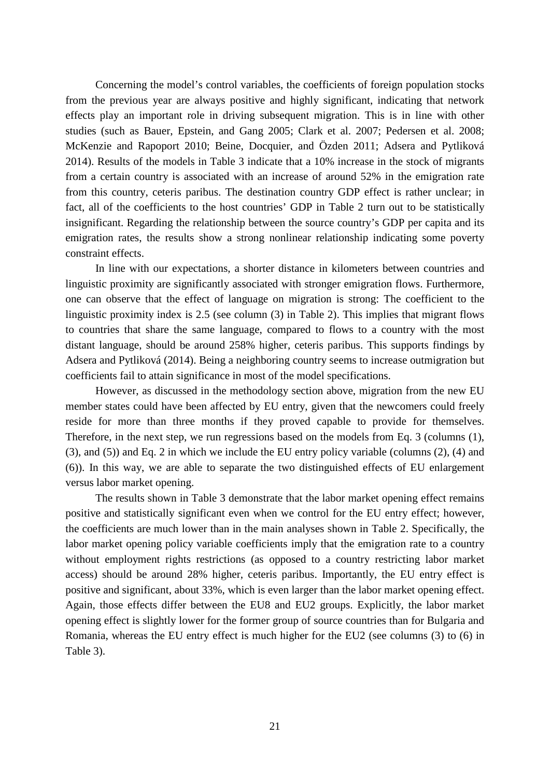Concerning the model's control variables, the coefficients of foreign population stocks from the previous year are always positive and highly significant, indicating that network effects play an important role in driving subsequent migration. This is in line with other studies (such as Bauer, Epstein, and Gang 2005; Clark et al. 2007; Pedersen et al. 2008; McKenzie and Rapoport 2010; Beine, Docquier, and Özden 2011; Adsera and Pytliková 2014). Results of the models in Table 3 indicate that a 10% increase in the stock of migrants from a certain country is associated with an increase of around 52% in the emigration rate from this country, ceteris paribus. The destination country GDP effect is rather unclear; in fact, all of the coefficients to the host countries' GDP in Table 2 turn out to be statistically insignificant. Regarding the relationship between the source country's GDP per capita and its emigration rates, the results show a strong nonlinear relationship indicating some poverty constraint effects.

In line with our expectations, a shorter distance in kilometers between countries and linguistic proximity are significantly associated with stronger emigration flows. Furthermore, one can observe that the effect of language on migration is strong: The coefficient to the linguistic proximity index is 2.5 (see column (3) in Table 2). This implies that migrant flows to countries that share the same language, compared to flows to a country with the most distant language, should be around 258% higher, ceteris paribus. This supports findings by Adsera and Pytliková (2014). Being a neighboring country seems to increase outmigration but coefficients fail to attain significance in most of the model specifications.

However, as discussed in the methodology section above, migration from the new EU member states could have been affected by EU entry, given that the newcomers could freely reside for more than three months if they proved capable to provide for themselves. Therefore, in the next step, we run regressions based on the models from Eq. 3 (columns (1), (3), and (5)) and Eq. 2 in which we include the EU entry policy variable (columns (2), (4) and (6)). In this way, we are able to separate the two distinguished effects of EU enlargement versus labor market opening.

The results shown in Table 3 demonstrate that the labor market opening effect remains positive and statistically significant even when we control for the EU entry effect; however, the coefficients are much lower than in the main analyses shown in Table 2. Specifically, the labor market opening policy variable coefficients imply that the emigration rate to a country without employment rights restrictions (as opposed to a country restricting labor market access) should be around 28% higher, ceteris paribus. Importantly, the EU entry effect is positive and significant, about 33%, which is even larger than the labor market opening effect. Again, those effects differ between the EU8 and EU2 groups. Explicitly, the labor market opening effect is slightly lower for the former group of source countries than for Bulgaria and Romania, whereas the EU entry effect is much higher for the EU2 (see columns (3) to (6) in Table 3).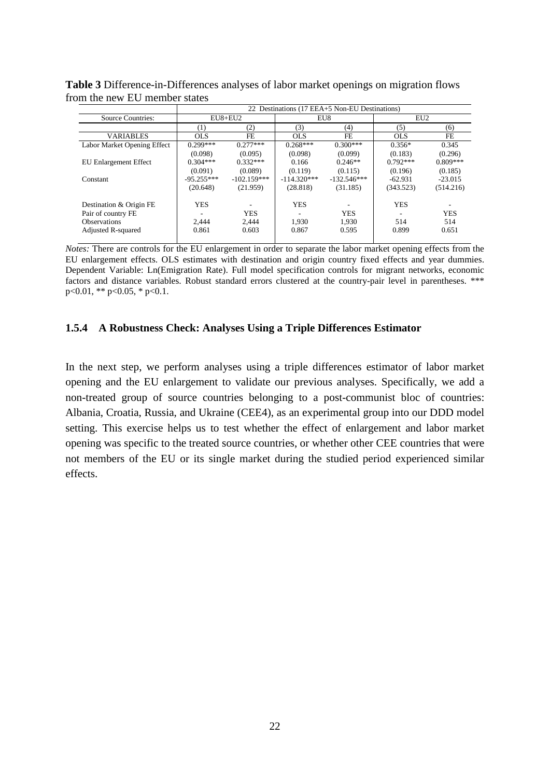|                              |                     |               |               | 22 Destinations (17 EEA+5 Non-EU Destinations) |                 |            |  |  |
|------------------------------|---------------------|---------------|---------------|------------------------------------------------|-----------------|------------|--|--|
| Source Countries:            |                     | $EU8+EU2$     |               | EU8                                            | EU <sub>2</sub> |            |  |  |
|                              | $\scriptstyle{(1)}$ | (2)           | (3)           | (4)                                            | (5)             | (6)        |  |  |
| <b>VARIABLES</b>             | <b>OLS</b>          | FE.           | OLS           | FE.                                            | <b>OLS</b>      | FE.        |  |  |
| Labor Market Opening Effect  | $0.299***$          | $0.277***$    | $0.268***$    | $0.300***$                                     | $0.356*$        | 0.345      |  |  |
|                              | (0.098)             | (0.095)       | (0.098)       | (0.099)                                        | (0.183)         | (0.296)    |  |  |
| <b>EU Enlargement Effect</b> | $0.304***$          | $0.332***$    | 0.166         | $0.246**$                                      | $0.792***$      | $0.809***$ |  |  |
|                              | (0.091)             | (0.089)       | (0.119)       | (0.115)                                        | (0.196)         | (0.185)    |  |  |
| Constant                     | $-95.255***$        | $-102.159***$ | $-114.320***$ | $-132.546***$                                  | $-62.931$       | $-23.015$  |  |  |
|                              | (20.648)            | (21.959)      | (28.818)      | (31.185)                                       | (343.523)       | (514.216)  |  |  |
| Destination & Origin FE      | <b>YES</b>          |               | <b>YES</b>    |                                                | <b>YES</b>      |            |  |  |
| Pair of country FE           |                     | <b>YES</b>    |               | <b>YES</b>                                     |                 | <b>YES</b> |  |  |
| <b>Observations</b>          | 2.444               | 2.444         | 1.930         | 1.930                                          | 514             | 514        |  |  |
| <b>Adjusted R-squared</b>    | 0.861               | 0.603         | 0.867         | 0.595                                          | 0.899           | 0.651      |  |  |

**Table 3** Difference-in-Differences analyses of labor market openings on migration flows from the new EU member states

*Notes:* There are controls for the EU enlargement in order to separate the labor market opening effects from the EU enlargement effects. OLS estimates with destination and origin country fixed effects and year dummies. Dependent Variable: Ln(Emigration Rate). Full model specification controls for migrant networks, economic factors and distance variables. Robust standard errors clustered at the country-pair level in parentheses. \*\*\*  $p<0.01$ , \*\*  $p<0.05$ , \*  $p<0.1$ .

#### **1.5.4 A Robustness Check: Analyses Using a Triple Differences Estimator**

In the next step, we perform analyses using a triple differences estimator of labor market opening and the EU enlargement to validate our previous analyses. Specifically, we add a non-treated group of source countries belonging to a post-communist bloc of countries: Albania, Croatia, Russia, and Ukraine (CEE4), as an experimental group into our DDD model setting. This exercise helps us to test whether the effect of enlargement and labor market opening was specific to the treated source countries, or whether other CEE countries that were not members of the EU or its single market during the studied period experienced similar effects.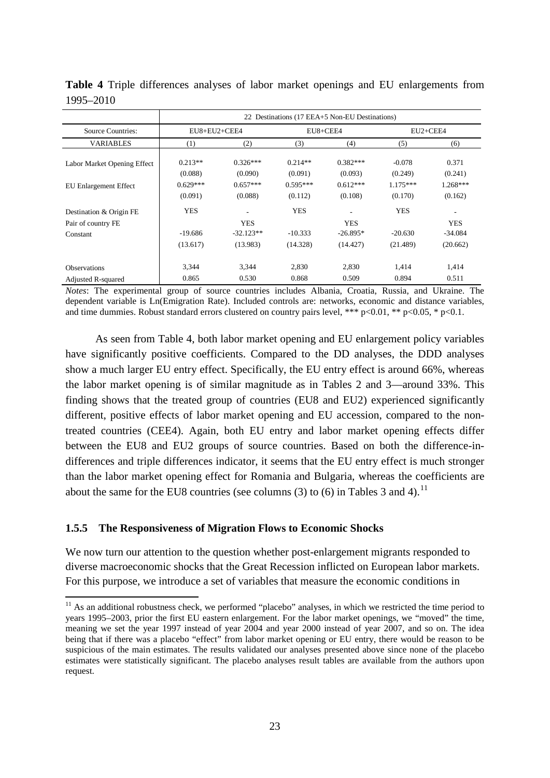|                              |                      |                       |                      | 22 Destinations (17 EEA+5 Non-EU Destinations) |                     |                  |
|------------------------------|----------------------|-----------------------|----------------------|------------------------------------------------|---------------------|------------------|
| <b>Source Countries:</b>     | EU8+EU2+CEE4         |                       | EU8+CEE4             |                                                | EU2+CEE4            |                  |
| <b>VARIABLES</b>             | (1)                  | (2)                   | (3)                  | (4)                                            | (5)                 | (6)              |
| Labor Market Opening Effect  | $0.213**$<br>(0.088) | $0.326***$<br>(0.090) | $0.214**$<br>(0.091) | $0.382***$<br>(0.093)                          | $-0.078$<br>(0.249) | 0.371<br>(0.241) |
| <b>EU Enlargement Effect</b> | $0.629***$           | $0.657***$            | $0.595***$           | $0.612***$                                     | $1.175***$          | $1.268***$       |
|                              | (0.091)              | (0.088)               | (0.112)              | (0.108)                                        | (0.170)             | (0.162)          |
| Destination & Origin FE      | <b>YES</b>           |                       | <b>YES</b>           |                                                | <b>YES</b>          |                  |
| Pair of country FE           |                      | <b>YES</b>            |                      | <b>YES</b>                                     |                     | <b>YES</b>       |
| Constant                     | $-19.686$            | $-32.123**$           | $-10.333$            | $-26.895*$                                     | $-20.630$           | $-34.084$        |
|                              | (13.617)             | (13.983)              | (14.328)             | (14.427)                                       | (21.489)            | (20.662)         |
|                              |                      |                       |                      |                                                |                     |                  |
| <b>Observations</b>          | 3,344                | 3,344                 | 2,830                | 2,830                                          | 1,414               | 1,414            |
| Adjusted R-squared           | 0.865                | 0.530                 | 0.868                | 0.509                                          | 0.894               | 0.511            |

**Table 4** Triple differences analyses of labor market openings and EU enlargements from 1995–2010

*Notes*: The experimental group of source countries includes Albania, Croatia, Russia, and Ukraine. The dependent variable is Ln(Emigration Rate). Included controls are: networks, economic and distance variables, and time dummies. Robust standard errors clustered on country pairs level, \*\*\*  $p<0.01$ , \*\*  $p<0.05$ , \*  $p<0.1$ .

As seen from Table 4, both labor market opening and EU enlargement policy variables have significantly positive coefficients. Compared to the DD analyses, the DDD analyses show a much larger EU entry effect. Specifically, the EU entry effect is around 66%, whereas the labor market opening is of similar magnitude as in Tables 2 and 3—around 33%. This finding shows that the treated group of countries (EU8 and EU2) experienced significantly different, positive effects of labor market opening and EU accession, compared to the nontreated countries (CEE4). Again, both EU entry and labor market opening effects differ between the EU8 and EU2 groups of source countries. Based on both the difference-indifferences and triple differences indicator, it seems that the EU entry effect is much stronger than the labor market opening effect for Romania and Bulgaria, whereas the coefficients are about the same for the EU8 countries (see columns  $(3)$  to  $(6)$  in Tables 3 and 4).<sup>[11](#page-19-1)</sup>

#### **1.5.5 The Responsiveness of Migration Flows to Economic Shocks**

We now turn our attention to the question whether post-enlargement migrants responded to diverse macroeconomic shocks that the Great Recession inflicted on European labor markets. For this purpose, we introduce a set of variables that measure the economic conditions in

<sup>&</sup>lt;sup>11</sup> As an additional robustness check, we performed "placebo" analyses, in which we restricted the time period to years 1995–2003, prior the first EU eastern enlargement. For the labor market openings, we "moved" the time, meaning we set the year 1997 instead of year 2004 and year 2000 instead of year 2007, and so on. The idea being that if there was a placebo "effect" from labor market opening or EU entry, there would be reason to be suspicious of the main estimates. The results validated our analyses presented above since none of the placebo estimates were statistically significant. The placebo analyses result tables are available from the authors upon request.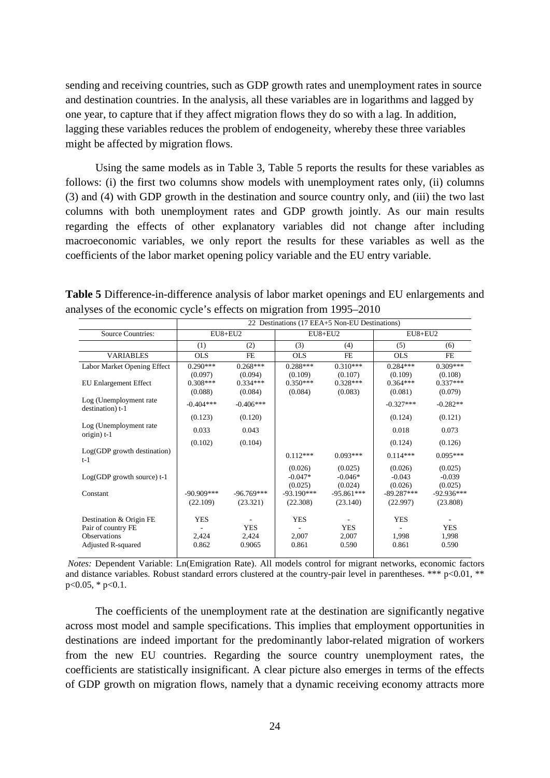sending and receiving countries, such as GDP growth rates and unemployment rates in source and destination countries. In the analysis, all these variables are in logarithms and lagged by one year, to capture that if they affect migration flows they do so with a lag. In addition, lagging these variables reduces the problem of endogeneity, whereby these three variables might be affected by migration flows.

Using the same models as in Table 3, Table 5 reports the results for these variables as follows: (i) the first two columns show models with unemployment rates only, (ii) columns (3) and (4) with GDP growth in the destination and source country only, and (iii) the two last columns with both unemployment rates and GDP growth jointly. As our main results regarding the effects of other explanatory variables did not change after including macroeconomic variables, we only report the results for these variables as well as the coefficients of the labor market opening policy variable and the EU entry variable.

|                                                                                            | 22 Destinations (17 EEA+5 Non-EU Destinations)<br>$EU8 + EU2$ |                               |                                 |                                 |                                |                                |  |  |  |  |  |  |  |  |
|--------------------------------------------------------------------------------------------|---------------------------------------------------------------|-------------------------------|---------------------------------|---------------------------------|--------------------------------|--------------------------------|--|--|--|--|--|--|--|--|
| Source Countries:                                                                          |                                                               |                               |                                 | $EU8 + EU2$                     | $EU8 + EU2$                    |                                |  |  |  |  |  |  |  |  |
|                                                                                            | (1)                                                           | (2)                           | (3)                             | (4)                             | (5)                            | (6)                            |  |  |  |  |  |  |  |  |
| <b>VARIABLES</b>                                                                           | <b>OLS</b>                                                    | FE.                           | <b>OLS</b>                      | <b>FE</b>                       | <b>OLS</b>                     | F <sub>E</sub>                 |  |  |  |  |  |  |  |  |
| Labor Market Opening Effect                                                                | $0.290***$<br>(0.097)                                         | $0.268***$<br>(0.094)         | $0.288***$<br>(0.109)           | $0.310***$<br>(0.107)           | $0.284***$<br>(0.109)          | $0.309***$<br>(0.108)          |  |  |  |  |  |  |  |  |
| <b>EU Enlargement Effect</b>                                                               | $0.308***$<br>(0.088)                                         | $0.334***$<br>(0.084)         | $0.350***$<br>(0.084)           | $0.328***$<br>(0.083)           | $0.364***$<br>(0.081)          | $0.337***$<br>(0.079)          |  |  |  |  |  |  |  |  |
| Log (Unemployment rate<br>destination) t-1                                                 | $-0.404***$                                                   | $-0.406***$                   |                                 |                                 | $-0.327***$                    | $-0.282**$                     |  |  |  |  |  |  |  |  |
|                                                                                            | (0.123)                                                       | (0.120)                       |                                 |                                 | (0.124)                        | (0.121)                        |  |  |  |  |  |  |  |  |
| Log (Unemployment rate)<br>origin) $t-1$                                                   | 0.033                                                         | 0.043                         |                                 |                                 | 0.018                          | 0.073                          |  |  |  |  |  |  |  |  |
|                                                                                            | (0.102)                                                       | (0.104)                       |                                 |                                 | (0.124)                        | (0.126)                        |  |  |  |  |  |  |  |  |
| $Log(GDP$ growth destination)<br>$t-1$                                                     |                                                               |                               | $0.112***$                      | $0.093***$                      | $0.114***$                     | $0.095***$                     |  |  |  |  |  |  |  |  |
| $Log(GDP$ growth source) $t-1$                                                             |                                                               |                               | (0.026)<br>$-0.047*$<br>(0.025) | (0.025)<br>$-0.046*$<br>(0.024) | (0.026)<br>$-0.043$<br>(0.026) | (0.025)<br>$-0.039$<br>(0.025) |  |  |  |  |  |  |  |  |
| Constant                                                                                   | $-90.909***$<br>(22.109)                                      | $-96.769***$<br>(23.321)      | $-93.190***$<br>(22.308)        | $-95.861***$<br>(23.140)        | $-89.287***$<br>(22.997)       | $-92.936***$<br>(23.808)       |  |  |  |  |  |  |  |  |
| Destination & Origin FE<br>Pair of country FE<br><b>Observations</b><br>Adjusted R-squared | <b>YES</b><br>2,424<br>0.862                                  | <b>YES</b><br>2,424<br>0.9065 | <b>YES</b><br>2,007<br>0.861    | <b>YES</b><br>2.007<br>0.590    | <b>YES</b><br>1,998<br>0.861   | <b>YES</b><br>1,998<br>0.590   |  |  |  |  |  |  |  |  |

**Table 5** Difference-in-difference analysis of labor market openings and EU enlargements and analyses of the economic cycle's effects on migration from 1995–2010

*Notes:* Dependent Variable: Ln(Emigration Rate). All models control for migrant networks, economic factors and distance variables. Robust standard errors clustered at the country-pair level in parentheses. \*\*\*  $p<0.01$ , \*\*  $p<0.05$ , \*  $p<0.1$ .

The coefficients of the unemployment rate at the destination are significantly negative across most model and sample specifications. This implies that employment opportunities in destinations are indeed important for the predominantly labor-related migration of workers from the new EU countries. Regarding the source country unemployment rates, the coefficients are statistically insignificant. A clear picture also emerges in terms of the effects of GDP growth on migration flows, namely that a dynamic receiving economy attracts more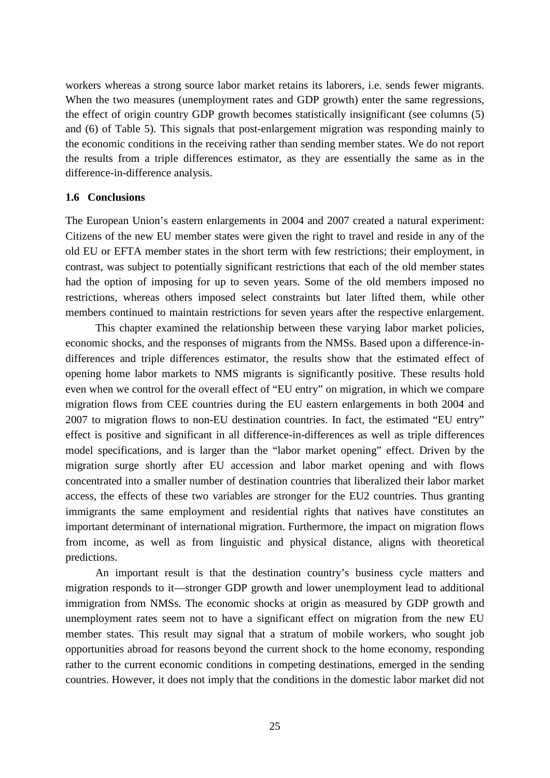workers whereas a strong source labor market retains its laborers, i.e. sends fewer migrants. When the two measures (unemployment rates and GDP growth) enter the same regressions, the effect of origin country GDP growth becomes statistically insignificant (see columns (5) and (6) of Table 5). This signals that post-enlargement migration was responding mainly to the economic conditions in the receiving rather than sending member states. We do not report the results from a triple differences estimator, as they are essentially the same as in the difference-in-difference analysis.

#### **1.6 Conclusions**

The European Union's eastern enlargements in 2004 and 2007 created a natural experiment: Citizens of the new EU member states were given the right to travel and reside in any of the old EU or EFTA member states in the short term with few restrictions; their employment, in contrast, was subject to potentially significant restrictions that each of the old member states had the option of imposing for up to seven years. Some of the old members imposed no restrictions, whereas others imposed select constraints but later lifted them, while other members continued to maintain restrictions for seven years after the respective enlargement.

This chapter examined the relationship between these varying labor market policies, economic shocks, and the responses of migrants from the NMSs. Based upon a difference-indifferences and triple differences estimator, the results show that the estimated effect of opening home labor markets to NMS migrants is significantly positive. These results hold even when we control for the overall effect of "EU entry" on migration, in which we compare migration flows from CEE countries during the EU eastern enlargements in both 2004 and 2007 to migration flows to non-EU destination countries. In fact, the estimated "EU entry" effect is positive and significant in all difference-in-differences as well as triple differences model specifications, and is larger than the "labor market opening" effect. Driven by the migration surge shortly after EU accession and labor market opening and with flows concentrated into a smaller number of destination countries that liberalized their labor market access, the effects of these two variables are stronger for the EU2 countries. Thus granting immigrants the same employment and residential rights that natives have constitutes an important determinant of international migration. Furthermore, the impact on migration flows from income, as well as from linguistic and physical distance, aligns with theoretical predictions.

An important result is that the destination country's business cycle matters and migration responds to it—stronger GDP growth and lower unemployment lead to additional immigration from NMSs. The economic shocks at origin as measured by GDP growth and unemployment rates seem not to have a significant effect on migration from the new EU member states. This result may signal that a stratum of mobile workers, who sought job opportunities abroad for reasons beyond the current shock to the home economy, responding rather to the current economic conditions in competing destinations, emerged in the sending countries. However, it does not imply that the conditions in the domestic labor market did not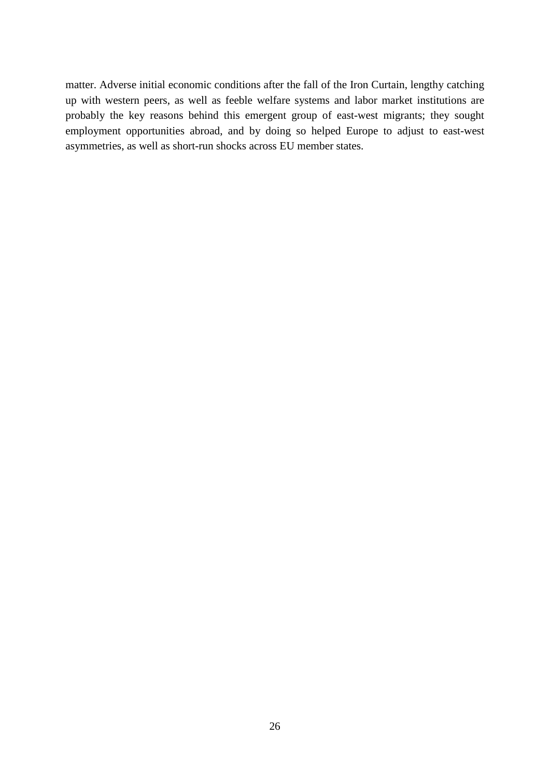matter. Adverse initial economic conditions after the fall of the Iron Curtain, lengthy catching up with western peers, as well as feeble welfare systems and labor market institutions are probably the key reasons behind this emergent group of east-west migrants; they sought employment opportunities abroad, and by doing so helped Europe to adjust to east-west asymmetries, as well as short-run shocks across EU member states.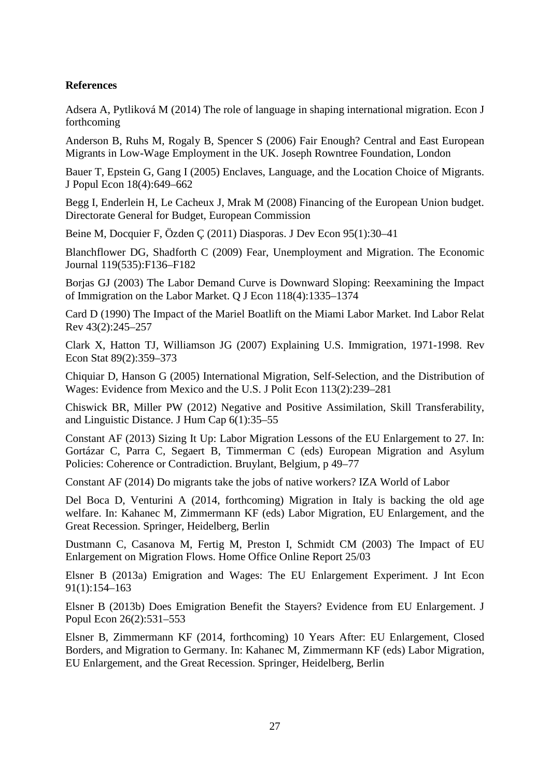#### **References**

Adsera A, Pytliková M (2014) The role of language in shaping international migration. Econ J forthcoming

Anderson B, Ruhs M, Rogaly B, Spencer S (2006) Fair Enough? Central and East European Migrants in Low-Wage Employment in the UK. Joseph Rowntree Foundation, London

Bauer T, Epstein G, Gang I (2005) Enclaves, Language, and the Location Choice of Migrants. J Popul Econ 18(4):649–662

Begg I, Enderlein H, Le Cacheux J, Mrak M (2008) Financing of the European Union budget. Directorate General for Budget, European Commission

Beine M, Docquier F, Özden Ç (2011) Diasporas. J Dev Econ 95(1):30–41

Blanchflower DG, Shadforth C (2009) Fear, Unemployment and Migration. The Economic Journal 119(535):F136–F182

Borjas GJ (2003) The Labor Demand Curve is Downward Sloping: Reexamining the Impact of Immigration on the Labor Market. Q J Econ 118(4):1335–1374

Card D (1990) The Impact of the Mariel Boatlift on the Miami Labor Market. Ind Labor Relat Rev 43(2):245–257

Clark X, Hatton TJ, Williamson JG (2007) Explaining U.S. Immigration, 1971-1998. Rev Econ Stat 89(2):359–373

Chiquiar D, Hanson G (2005) International Migration, Self-Selection, and the Distribution of Wages: Evidence from Mexico and the U.S. J Polit Econ 113(2):239–281

Chiswick BR, Miller PW (2012) Negative and Positive Assimilation, Skill Transferability, and Linguistic Distance. J Hum Cap 6(1):35–55

Constant AF (2013) Sizing It Up: Labor Migration Lessons of the EU Enlargement to 27. In: Gortázar C, Parra C, Segaert B, Timmerman C (eds) European Migration and Asylum Policies: Coherence or Contradiction. Bruylant, Belgium, p 49–77

Constant AF (2014) [Do migrants take the jobs of native workers?](http://wol.iza.org/articles/do-migrants-take-the-jobs-of-native-workers) IZA World of Labor

Del Boca D, Venturini A (2014, forthcoming) Migration in Italy is backing the old age welfare. In: Kahanec M, Zimmermann KF (eds) Labor Migration, EU Enlargement, and the Great Recession. Springer, Heidelberg, Berlin

Dustmann C, Casanova M, Fertig M, Preston I, Schmidt CM (2003) The Impact of EU Enlargement on Migration Flows. Home Office Online Report 25/03

Elsner B (2013a) Emigration and Wages: The EU Enlargement Experiment. J Int Econ 91(1):154–163

Elsner B (2013b) Does Emigration Benefit the Stayers? Evidence from EU Enlargement. J Popul Econ 26(2):531–553

Elsner B, Zimmermann KF (2014, forthcoming) 10 Years After: EU Enlargement, Closed Borders, and Migration to Germany. In: Kahanec M, Zimmermann KF (eds) Labor Migration, EU Enlargement, and the Great Recession. Springer, Heidelberg, Berlin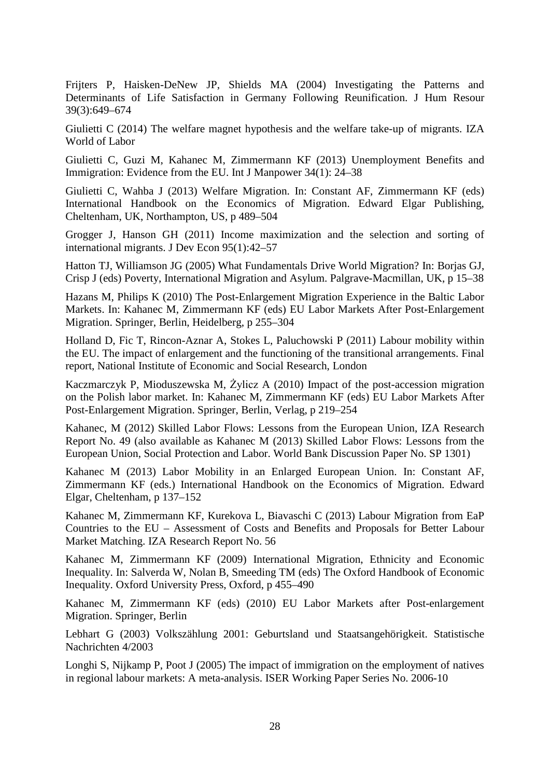Frijters P, Haisken-DeNew JP, Shields MA (2004) Investigating the Patterns and Determinants of Life Satisfaction in Germany Following Reunification. J Hum Resour 39(3):649–674

Giulietti C (2014) The welfare magnet hypothesis and the welfare take-up of migrants. IZA World of Labor

Giulietti C, Guzi M, Kahanec M, Zimmermann KF (2013) Unemployment Benefits and Immigration: Evidence from the EU. Int J Manpower 34(1): 24–38

Giulietti C, Wahba J (2013) Welfare Migration. In: Constant AF, Zimmermann KF (eds) International Handbook on the Economics of Migration. Edward Elgar Publishing, Cheltenham, UK, Northampton, US, p 489–504

Grogger J, Hanson GH (2011) Income maximization and the selection and sorting of international migrants. J Dev Econ 95(1):42–57

Hatton TJ, Williamson JG (2005) What Fundamentals Drive World Migration? In: Borjas GJ, Crisp J (eds) Poverty, International Migration and Asylum. Palgrave-Macmillan, UK, p 15–38

Hazans M, Philips K (2010) [The Post-Enlargement Migration Experience in the Baltic Labor](http://www.iza.org/en/webcontent/publications/papers/viewAbstract?dp_id=5878)  [Markets.](http://www.iza.org/en/webcontent/publications/papers/viewAbstract?dp_id=5878) In: Kahanec M, Zimmermann KF (eds) EU Labor Markets After Post-Enlargement Migration. Springer, Berlin, Heidelberg, p 255–304

Holland D, Fic T, Rincon-Aznar A, Stokes L, Paluchowski P (2011) Labour mobility within the EU. The impact of enlargement and the functioning of the transitional arrangements. Final report, National Institute of Economic and Social Research, London

Kaczmarczyk P, Mioduszewska M, Żylicz A (2010) Impact of the post-accession migration on the Polish labor market. In: Kahanec M, Zimmermann KF (eds) EU Labor Markets After Post-Enlargement Migration. Springer, Berlin, Verlag, p 219–254

Kahanec, M (2012) Skilled Labor Flows: Lessons from the European Union, IZA Research Report No. 49 (also available as Kahanec M (2013) Skilled Labor Flows: Lessons from the European Union, Social Protection and Labor. World Bank Discussion Paper No. SP 1301)

Kahanec M (2013) Labor Mobility in an Enlarged European Union. In: Constant AF, Zimmermann KF (eds.) International Handbook on the Economics of Migration. Edward Elgar, Cheltenham, p 137–152

Kahanec M, Zimmermann KF, Kurekova L, Biavaschi C (2013) Labour Migration from EaP Countries to the EU – Assessment of Costs and Benefits and Proposals for Better Labour Market Matching. IZA Research Report No. 56

Kahanec M, Zimmermann KF (2009) International Migration, Ethnicity and Economic Inequality. In: Salverda W, Nolan B, Smeeding TM (eds) The Oxford Handbook of Economic Inequality. Oxford University Press, Oxford, p 455–490

Kahanec M, Zimmermann KF (eds) (2010) EU Labor Markets after Post-enlargement Migration. Springer, Berlin

Lebhart G (2003) Volkszählung 2001: Geburtsland und Staatsangehörigkeit. Statistische Nachrichten 4/2003

Longhi S, Nijkamp P, Poot J (2005) The impact of immigration on the employment of natives in regional labour markets: A meta-analysis. ISER Working Paper Series No. 2006-10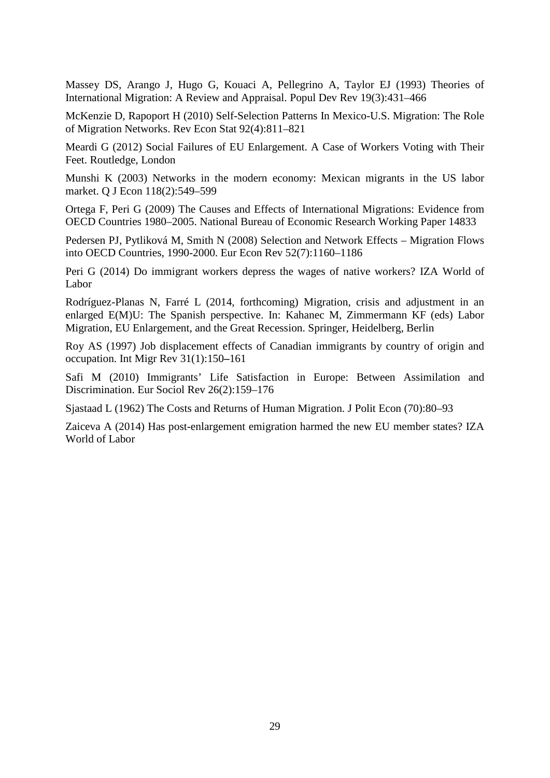Massey DS, Arango J, Hugo G, Kouaci A, Pellegrino A, Taylor EJ (1993) Theories of International Migration: A Review and Appraisal. Popul Dev Rev 19(3):431–466

McKenzie D, Rapoport H (2010) Self-Selection Patterns In Mexico-U.S. Migration: The Role of Migration Networks. Rev Econ Stat 92(4):811–821

Meardi G (2012) [Social Failures of EU Enlargement. A Case of Workers Voting with Their](http://books.google.co.uk/books/about/Social_Failures_of_EU_Enlargement.html?hl=&id=iluMZwEACAAJ)  [Feet.](http://books.google.co.uk/books/about/Social_Failures_of_EU_Enlargement.html?hl=&id=iluMZwEACAAJ) Routledge, London

Munshi K (2003) Networks in the modern economy: Mexican migrants in the US labor market. Q J Econ 118(2):549–599

Ortega F, Peri G (2009) The Causes and Effects of International Migrations: Evidence from OECD Countries 1980–2005. National Bureau of Economic Research Working Paper 14833

Pedersen PJ, Pytliková M, Smith N (2008) Selection and Network Effects – Migration Flows into OECD Countries, 1990-2000. Eur Econ Rev 52(7):1160–1186

Peri G (2014) [Do immigrant workers depress the wages of native workers?](http://wol.iza.org/articles/do-immigrant-workers-depress-the-wages-of-native-workers) IZA World of Labor

Rodríguez-Planas N, Farré L (2014, forthcoming) Migration, crisis and adjustment in an enlarged E(M)U: The Spanish perspective. In: Kahanec M, Zimmermann KF (eds) Labor Migration, EU Enlargement, and the Great Recession. Springer, Heidelberg, Berlin

Roy AS (1997) Job displacement effects of Canadian immigrants by country of origin and occupation. [Int Migr Rev](http://www.ncbi.nlm.nih.gov/pubmed/12320903) 31(1):150**–**161

Safi M (2010) Immigrants' Life Satisfaction in Europe: Between Assimilation and Discrimination. Eur Sociol Rev 26(2):159–176

Sjastaad L (1962) The Costs and Returns of Human Migration. J Polit Econ (70):80–93

Zaiceva A (2014) Has post-enlargement emigration harmed the new EU member states? IZA World of Labor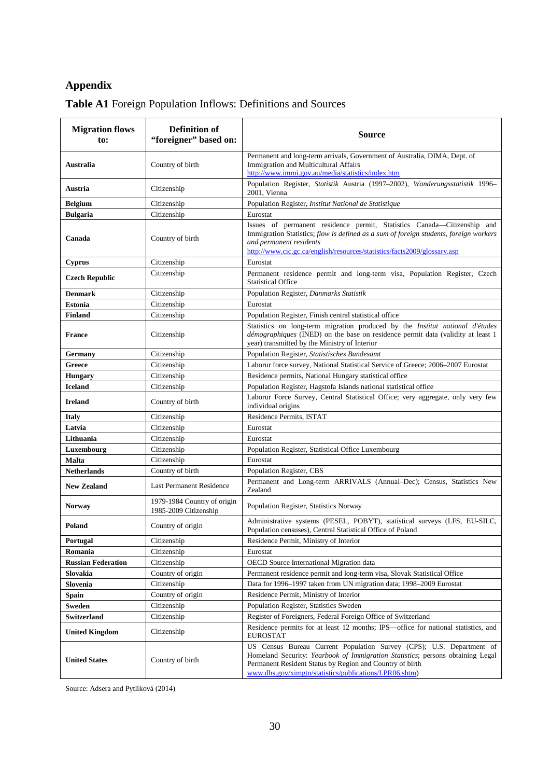# **Appendix**

# **Table A1** Foreign Population Inflows: Definitions and Sources

| <b>Migration flows</b><br>to: | <b>Definition of</b><br>"foreigner" based on:        | <b>Source</b>                                                                                                                                                                                                                                                                |
|-------------------------------|------------------------------------------------------|------------------------------------------------------------------------------------------------------------------------------------------------------------------------------------------------------------------------------------------------------------------------------|
| Australia                     | Country of birth                                     | Permanent and long-term arrivals, Government of Australia, DIMA, Dept. of<br>Immigration and Multicultural Affairs<br>http://www.immi.gov.au/media/statistics/index.htm                                                                                                      |
| Austria                       | Citizenship                                          | Population Register, Statistik Austria (1997-2002), Wanderungsstatistik 1996-<br>2001, Vienna                                                                                                                                                                                |
| <b>Belgium</b>                | Citizenship                                          | Population Register, Institut National de Statistique                                                                                                                                                                                                                        |
| <b>Bulgaria</b>               | Citizenship                                          | Eurostat                                                                                                                                                                                                                                                                     |
| Canada                        | Country of birth                                     | Issues of permanent residence permit, Statistics Canada-Citizenship and<br>Immigration Statistics; flow is defined as a sum of foreign students, foreign workers<br>and permanent residents<br>http://www.cic.gc.ca/english/resources/statistics/facts2009/glossary.asp      |
| <b>Cyprus</b>                 | Citizenship                                          | Eurostat                                                                                                                                                                                                                                                                     |
| <b>Czech Republic</b>         | Citizenship                                          | Permanent residence permit and long-term visa, Population Register, Czech<br><b>Statistical Office</b>                                                                                                                                                                       |
| <b>Denmark</b>                | Citizenship                                          | Population Register, Danmarks Statistik                                                                                                                                                                                                                                      |
| <b>Estonia</b>                | Citizenship                                          | Eurostat                                                                                                                                                                                                                                                                     |
| <b>Finland</b>                | Citizenship                                          | Population Register, Finish central statistical office                                                                                                                                                                                                                       |
| <b>France</b>                 | Citizenship                                          | Statistics on long-term migration produced by the Institut national d'études<br>démographiques (INED) on the base on residence permit data (validity at least 1<br>year) transmitted by the Ministry of Interior                                                             |
| Germany                       | Citizenship                                          | Population Register, Statistisches Bundesamt                                                                                                                                                                                                                                 |
| Greece                        | Citizenship                                          | Laborur force survey, National Statistical Service of Greece; 2006-2007 Eurostat                                                                                                                                                                                             |
| <b>Hungary</b>                | Citizenship                                          | Residence permits, National Hungary statistical office                                                                                                                                                                                                                       |
| <b>Iceland</b>                | Citizenship                                          | Population Register, Hagstofa Islands national statistical office                                                                                                                                                                                                            |
| <b>Ireland</b>                | Country of birth                                     | Laborur Force Survey, Central Statistical Office; very aggregate, only very few<br>individual origins                                                                                                                                                                        |
| <b>Italy</b>                  | Citizenship                                          | Residence Permits, ISTAT                                                                                                                                                                                                                                                     |
| Latvia                        | Citizenship                                          | Eurostat                                                                                                                                                                                                                                                                     |
| Lithuania                     | Citizenship                                          | Eurostat                                                                                                                                                                                                                                                                     |
| Luxembourg                    | Citizenship                                          | Population Register, Statistical Office Luxembourg                                                                                                                                                                                                                           |
| <b>Malta</b>                  | Citizenship                                          | Eurostat                                                                                                                                                                                                                                                                     |
| <b>Netherlands</b>            | Country of birth                                     | Population Register, CBS                                                                                                                                                                                                                                                     |
| <b>New Zealand</b>            | Last Permanent Residence                             | Permanent and Long-term ARRIVALS (Annual-Dec); Census, Statistics New<br>Zealand                                                                                                                                                                                             |
| <b>Norway</b>                 | 1979-1984 Country of origin<br>1985-2009 Citizenship | Population Register, Statistics Norway                                                                                                                                                                                                                                       |
| Poland                        | Country of origin                                    | Administrative systems (PESEL, POBYT), statistical surveys (LFS, EU-SILC,<br>Population censuses), Central Statistical Office of Poland                                                                                                                                      |
| Portugal                      | Citizenship                                          | Residence Permit, Ministry of Interior                                                                                                                                                                                                                                       |
| Romania                       | Citizenship                                          | Eurostat                                                                                                                                                                                                                                                                     |
| <b>Russian Federation</b>     | Citizenship                                          | OECD Source International Migration data                                                                                                                                                                                                                                     |
| Slovakia                      | Country of origin                                    | Permanent residence permit and long-term visa, Slovak Statistical Office                                                                                                                                                                                                     |
| Slovenia                      | Citizenship                                          | Data for 1996-1997 taken from UN migration data; 1998-2009 Eurostat                                                                                                                                                                                                          |
| Spain                         | Country of origin                                    | Residence Permit, Ministry of Interior                                                                                                                                                                                                                                       |
| Sweden                        | Citizenship                                          | Population Register, Statistics Sweden                                                                                                                                                                                                                                       |
| <b>Switzerland</b>            | Citizenship                                          | Register of Foreigners, Federal Foreign Office of Switzerland                                                                                                                                                                                                                |
| <b>United Kingdom</b>         | Citizenship                                          | Residence permits for at least 12 months; IPS—office for national statistics, and<br><b>EUROSTAT</b>                                                                                                                                                                         |
| <b>United States</b>          | Country of birth                                     | US Census Bureau Current Population Survey (CPS); U.S. Department of<br>Homeland Security: Yearbook of Immigration Statistics; persons obtaining Legal<br>Permanent Resident Status by Region and Country of birth<br>www.dhs.gov/ximgtn/statistics/publications/LPR06.shtm) |

Source: Adsera and Pytliková (2014)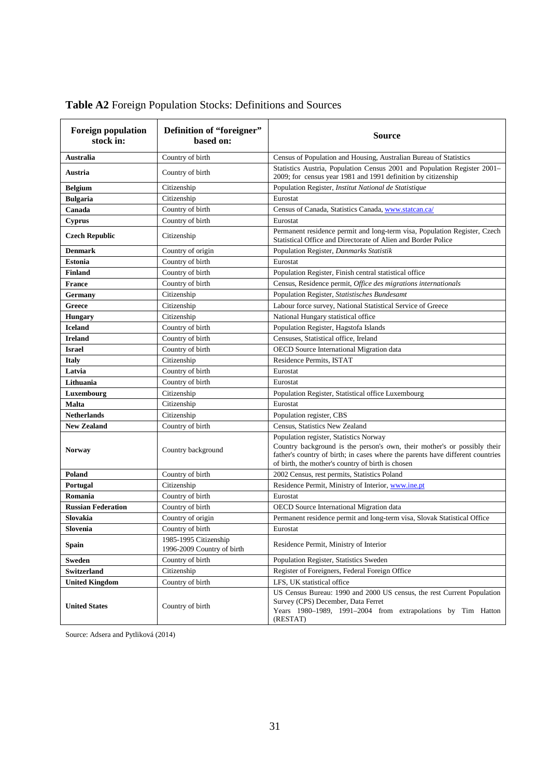| <b>Foreign population</b><br>stock in: | Definition of "foreigner"<br>based on:              | <b>Source</b>                                                                                                                                                                                                                                             |
|----------------------------------------|-----------------------------------------------------|-----------------------------------------------------------------------------------------------------------------------------------------------------------------------------------------------------------------------------------------------------------|
| <b>Australia</b>                       | Country of birth                                    | Census of Population and Housing, Australian Bureau of Statistics                                                                                                                                                                                         |
| Austria                                | Country of birth                                    | Statistics Austria, Population Census 2001 and Population Register 2001-<br>2009; for census year 1981 and 1991 definition by citizenship                                                                                                                 |
| <b>Belgium</b>                         | Citizenship                                         | Population Register, Institut National de Statistique                                                                                                                                                                                                     |
| <b>Bulgaria</b>                        | Citizenship                                         | Eurostat                                                                                                                                                                                                                                                  |
| Canada                                 | Country of birth                                    | Census of Canada, Statistics Canada, www.statcan.ca/                                                                                                                                                                                                      |
| <b>Cyprus</b>                          | Country of birth                                    | Eurostat                                                                                                                                                                                                                                                  |
| <b>Czech Republic</b>                  | Citizenship                                         | Permanent residence permit and long-term visa, Population Register, Czech<br>Statistical Office and Directorate of Alien and Border Police                                                                                                                |
| <b>Denmark</b>                         | Country of origin                                   | Population Register, Danmarks Statistik                                                                                                                                                                                                                   |
| <b>Estonia</b>                         | Country of birth                                    | Eurostat                                                                                                                                                                                                                                                  |
| <b>Finland</b>                         | Country of birth                                    | Population Register, Finish central statistical office                                                                                                                                                                                                    |
| <b>France</b>                          | Country of birth                                    | Census, Residence permit, Office des migrations internationals                                                                                                                                                                                            |
| Germany                                | Citizenship                                         | Population Register, Statistisches Bundesamt                                                                                                                                                                                                              |
| Greece                                 | Citizenship                                         | Labour force survey, National Statistical Service of Greece                                                                                                                                                                                               |
| <b>Hungary</b>                         | Citizenship                                         | National Hungary statistical office                                                                                                                                                                                                                       |
| <b>Iceland</b>                         | Country of birth                                    | Population Register, Hagstofa Islands                                                                                                                                                                                                                     |
| <b>Ireland</b>                         | Country of birth                                    | Censuses, Statistical office, Ireland                                                                                                                                                                                                                     |
| <b>Israel</b>                          | Country of birth                                    | OECD Source International Migration data                                                                                                                                                                                                                  |
| <b>Italy</b>                           | Citizenship                                         | Residence Permits, ISTAT                                                                                                                                                                                                                                  |
| Latvia                                 | Country of birth                                    | Eurostat                                                                                                                                                                                                                                                  |
| Lithuania                              | Country of birth                                    | Eurostat                                                                                                                                                                                                                                                  |
| Luxembourg                             | Citizenship                                         | Population Register, Statistical office Luxembourg                                                                                                                                                                                                        |
| <b>Malta</b>                           | Citizenship                                         | Eurostat                                                                                                                                                                                                                                                  |
| <b>Netherlands</b>                     | Citizenship                                         | Population register, CBS                                                                                                                                                                                                                                  |
| <b>New Zealand</b>                     | Country of birth                                    | Census, Statistics New Zealand                                                                                                                                                                                                                            |
| <b>Norway</b>                          | Country background                                  | Population register, Statistics Norway<br>Country background is the person's own, their mother's or possibly their<br>father's country of birth; in cases where the parents have different countries<br>of birth, the mother's country of birth is chosen |
| Poland                                 | Country of birth                                    | 2002 Census, rest permits, Statistics Poland                                                                                                                                                                                                              |
| Portugal                               | Citizenship                                         | Residence Permit, Ministry of Interior, www.ine.pt                                                                                                                                                                                                        |
| Romania                                | Country of birth                                    | Eurostat                                                                                                                                                                                                                                                  |
| <b>Russian Federation</b>              | Country of birth                                    | OECD Source International Migration data                                                                                                                                                                                                                  |
| Slovakia                               | Country of origin                                   | Permanent residence permit and long-term visa, Slovak Statistical Office                                                                                                                                                                                  |
| Slovenia                               | Country of birth                                    | Eurostat                                                                                                                                                                                                                                                  |
| <b>Spain</b>                           | 1985-1995 Citizenship<br>1996-2009 Country of birth | Residence Permit, Ministry of Interior                                                                                                                                                                                                                    |
| Sweden                                 | Country of birth                                    | Population Register, Statistics Sweden                                                                                                                                                                                                                    |
| Switzerland                            | Citizenship                                         | Register of Foreigners, Federal Foreign Office                                                                                                                                                                                                            |
| <b>United Kingdom</b>                  | Country of birth                                    | LFS, UK statistical office                                                                                                                                                                                                                                |
| <b>United States</b>                   | Country of birth                                    | US Census Bureau: 1990 and 2000 US census, the rest Current Population<br>Survey (CPS) December, Data Ferret<br>Years 1980-1989, 1991-2004 from extrapolations by Tim Hatton<br>(RESTAT)                                                                  |

# **Table A2** Foreign Population Stocks: Definitions and Sources

Source: Adsera and Pytliková (2014)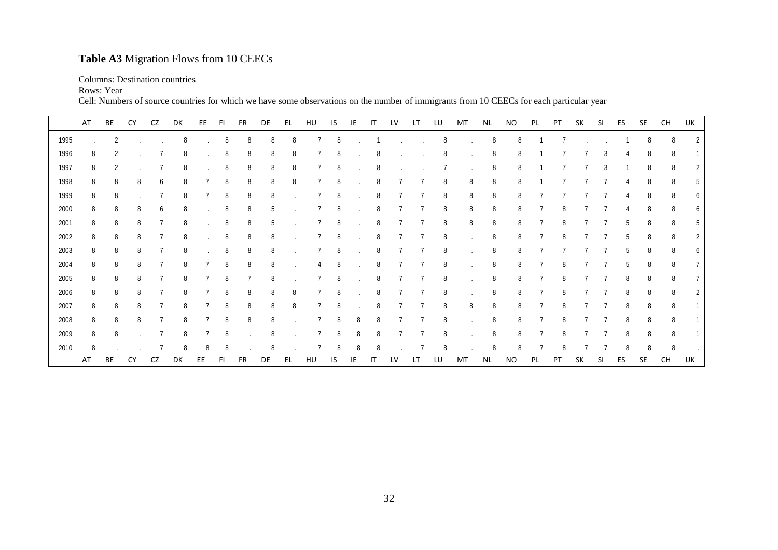#### **Table A3** Migration Flows from 10 CEECs

Columns: Destination countries

#### Rows: Year

Cell: Numbers of source countries for which we have some observations on the number of immigrants from 10 CEECs for each particular year

|      | AT | BE | CY        | CZ           | DK           | EE  | FI | <b>FR</b> | DE | EL  | HU | IS | IE | IT | LV | LT | LU | MT | <b>NL</b> | <b>NO</b> | PL  | PT | <b>SK</b> | SI | ES           | SE | <b>CH</b> | UK |
|------|----|----|-----------|--------------|--------------|-----|----|-----------|----|-----|----|----|----|----|----|----|----|----|-----------|-----------|-----|----|-----------|----|--------------|----|-----------|----|
| 1995 |    | 2  |           |              | 8            |     | 8  | 8         | 8  | 8   |    | 8  |    |    |    |    | 8  |    | 8         | 8         |     |    |           |    |              | 8  | 8         | 2  |
| 1996 | 8  | 2  |           |              | 8            |     | 8  | 8         | 8  | 8   |    | 8  |    | 8  |    |    | 8  |    | 8         | 8         |     |    |           |    |              | 8  | 8         |    |
| 1997 | 8  | 2  |           |              | 8            |     | 8  | 8         | 8  | 8   |    | 8  |    | 8  |    |    |    |    | 8         | 8         |     |    |           |    |              | 8  | 8         | 2  |
| 1998 | 8  | 8  | 8         | 6            | 8            |     | 8  | 8         | 8  | 8   |    | 8  |    | 8  |    |    | 8  | 8  | 8         | 8         |     |    |           |    |              | 8  | 8         | 5  |
| 1999 | 8  | 8  |           |              | 8            |     | 8  | 8         | 8  |     |    | 8  |    | 8  |    |    | 8  | 8  | 8         | 8         |     |    |           |    |              | 8  | 8         | 6  |
| 2000 | 8  | 8  | 8         | <sub>6</sub> | 8            |     | 8  | 8         | 5  |     |    | 8  |    | 8  |    |    | 8  | 8  | 8         | 8         |     | 8  |           |    |              | 8  | 8         | 6  |
| 2001 | 8  | 8  | 8         |              | 8            |     | 8  | 8         | 5  |     |    | 8  |    | 8  |    |    | 8  | 8  | 8         | 8         |     | 8  |           |    | 5            | 8  | 8         | 5  |
| 2002 | 8  | 8  | 8         |              | 8            |     | 8  | 8         | 8  |     |    | 8  |    | 8  |    |    | 8  |    | 8         | 8         |     | 8  |           |    | 5            | 8  | 8         | 2  |
| 2003 | 8  | 8  | 8         |              | 8            |     | 8  | 8         | 8  |     |    | 8  |    | 8  |    |    | 8  |    | 8         | 8         |     |    |           |    | 5            | 8  | 8         | 6  |
| 2004 | 8  | 8  | 8         |              | 8            |     | 8  | 8         | 8  |     | 4  | 8  |    | 8  |    |    | 8  |    | 8         | 8         |     | 8  |           |    | 5            | 8  | 8         |    |
| 2005 | 8  | 8  | 8         |              | 8            |     | 8  |           | 8  |     |    | 8  |    | 8  |    |    | 8  |    | 8         | 8         |     | 8  |           |    | 8            | 8  | 8         |    |
| 2006 | 8  | 8  | 8         |              | 8            |     | 8  | 8         | 8  | 8   |    | 8  |    | 8  |    |    | 8  |    | 8         | 8         |     | 8  |           |    | 8            | 8  | 8         | 2  |
| 2007 | 8  | 8  | 8         |              | 8            |     | 8  | 8         | 8  | 8   |    | 8  |    | 8  |    |    | 8  | 8  | 8         |           |     | 8  |           |    | 8            | 8  | 8         |    |
| 2008 | 8  | 8  | 8         |              | 8            |     | 8  | 8         | 8  |     |    | 8  | 8  | 8  |    |    | 8  |    | 8         | 8         |     | 8  |           |    | 8            | 8  | 8         |    |
| 2009 | 8  | 8  |           |              | 8            |     | 8  |           | 8  |     |    | 8  | 8  | 8  |    |    | 8  |    | 8         | 8         |     | 8  |           |    | 8            | 8  | 8         |    |
| 2010 | 8  |    |           |              | <sub>8</sub> | 8   | 8  |           | R  |     |    | 8  | 8  | R  |    |    | 8  |    | 8         | ହ         |     | 8  |           |    | $\mathsf{R}$ | R  | 8         |    |
|      | AT | BE | <b>CY</b> | CZ           | DK           | EE. | FI | FR        | DE | EL. | HU | IS | IE | IT | LV | LТ | LU | MT | <b>NL</b> | <b>NO</b> | PL. | PT | SK        | SI | ES           | SE | <b>CH</b> | UK |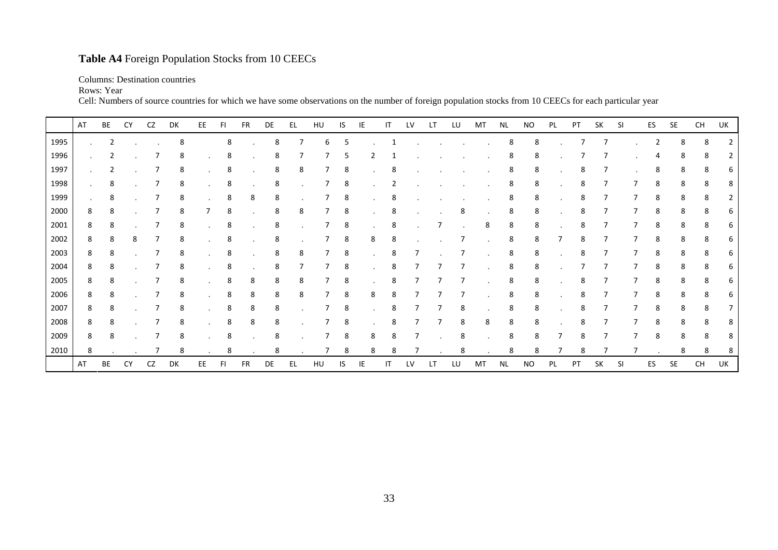#### **Table A4** Foreign Population Stocks from 10 CEECs

Columns: Destination countries

Rows: Year

Cell: Numbers of source countries for which we have some observations on the number of foreign population stocks from 10 CEECs for each particular year

|      | AT      | BE             | CY        | CZ | DK | EE | <b>FI</b> | <b>FR</b> | DE | EL | HU             | IS | IE | IT | LV | LΤ | LU | MT | <b>NL</b> | <b>NO</b> | PL | PT | SK        | SI        | ES             | SE        | CH        | UK |
|------|---------|----------------|-----------|----|----|----|-----------|-----------|----|----|----------------|----|----|----|----|----|----|----|-----------|-----------|----|----|-----------|-----------|----------------|-----------|-----------|----|
| 1995 |         | $\overline{2}$ |           |    | 8  |    | 8         |           | 8  |    | 6              | 5  |    |    |    |    |    |    | 8         | 8         |    |    | 7         |           | $\overline{2}$ | 8         | 8         | 2  |
| 1996 | $\cdot$ | 2              |           |    | 8  |    | 8         |           | 8  | 7  | $\overline{7}$ | 5  | 2  |    |    |    |    |    | 8         | 8         |    |    | 7         |           | 4              | 8         | 8         | 2  |
| 1997 | $\cdot$ | 2              |           |    | 8  |    | 8         |           | 8  | 8  | 7              | 8  |    | 8  |    |    |    |    | 8         | 8         |    | 8  | 7         |           | 8              | 8         | 8         | 6  |
| 1998 | $\cdot$ | 8              |           |    | 8  |    | 8         |           | 8  |    | 7              | 8  |    | 2  |    |    |    |    | 8         | 8         |    | 8  | 7         |           | 8              | 8         | 8         | 8  |
| 1999 | $\cdot$ | 8              |           | 7  | 8  |    | 8         | 8         | 8  |    | 7              | 8  |    | 8  |    |    |    |    | 8         | 8         |    | 8  | 7         |           | 8              | 8         | 8         | 2  |
| 2000 | 8       | 8              |           | 7  | 8  |    | 8         |           | 8  | 8  | 7              | 8  |    | 8  |    |    | 8  |    | 8         | 8         |    | 8  | 7         |           | 8              | 8         | 8         | 6  |
| 2001 | 8       | 8              |           |    | 8  |    | 8         |           | 8  |    | 7              | 8  |    | 8  |    |    |    | 8  | 8         | 8         |    | 8  | 7         |           | 8              | 8         | 8         | 6  |
| 2002 | 8       | 8              | 8         |    | 8  |    | 8         |           | 8  |    | 7              | 8  | 8  | 8  |    |    |    |    | 8         | 8         |    | 8  | 7         |           | 8              | 8         | 8         | 6  |
| 2003 | 8       | 8              |           |    | 8  |    | 8         |           | 8  | 8  | 7              | 8  |    | 8  |    |    |    |    | 8         | 8         |    | 8  | 7         |           | 8              | 8         | 8         | 6  |
| 2004 | 8       | 8              |           |    | 8  |    | 8         |           | 8  |    | 7              | 8  |    | 8  |    |    |    |    | 8         | 8         |    |    | 7         |           | 8              | 8         | 8         | 6  |
| 2005 | 8       | 8              |           |    | 8  |    | 8         | 8         | 8  | 8  | 7              | 8  |    | 8  |    |    |    |    | 8         | 8         |    | 8  | 7         |           | 8              | 8         | 8         | 6  |
| 2006 | 8       | 8              |           |    | 8  |    | 8         | 8         | 8  | 8  | 7              | 8  | 8  | 8  |    |    |    |    | 8         | 8         |    | 8  | 7         |           | 8              | 8         | 8         | 6  |
| 2007 | 8       | 8              |           |    | 8  |    | 8         | 8         | 8  |    |                | 8  |    | 8  |    |    | 8  |    | 8         | 8         |    | 8  | 7         |           | 8              | 8         | 8         | 7  |
| 2008 | 8       | 8              |           |    | 8  |    | 8         | 8         | 8  |    |                | 8  |    | 8  |    |    | 8  | 8  | 8         | 8         |    | 8  | 7         |           | 8              | 8         | 8         | 8  |
| 2009 | 8       | 8              |           |    | 8  |    | 8         |           | 8  |    |                | 8  | 8  | 8  |    |    | 8  |    | 8         | 8         |    | 8  | 7         |           | 8              | 8         | 8         | 8  |
| 2010 | 8       |                |           |    | 8  |    | 8         |           | 8  |    |                | 8  | 8  | 8  |    |    | 8  |    | 8         | 8         |    | 8  |           |           |                | 8         | 8         | 8  |
|      | AT      | BE             | <b>CY</b> | CZ | DK | EE | FI.       | FR        | DE | EL | HU             | IS | IE | IT | LV | LТ | LU | MT | <b>NL</b> | <b>NO</b> | PL | PT | <b>SK</b> | <b>SI</b> | ES             | <b>SE</b> | <b>CH</b> | UK |